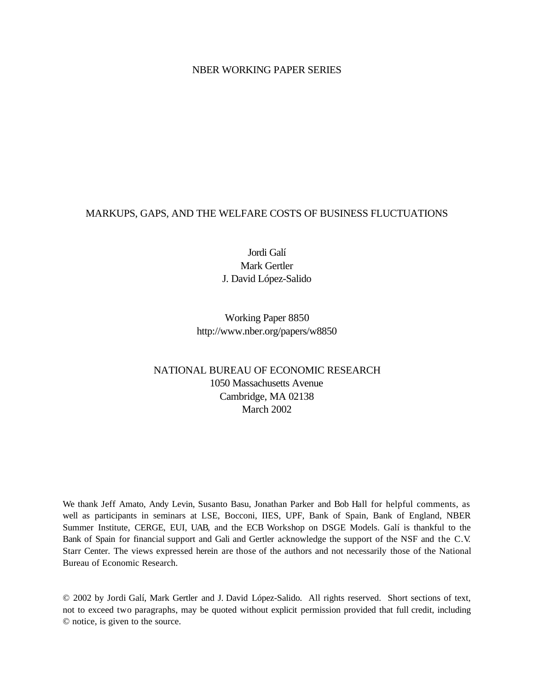### NBER WORKING PAPER SERIES

### MARKUPS, GAPS, AND THE WELFARE COSTS OF BUSINESS FLUCTUATIONS

Jordi Galí Mark Gertler J. David López-Salido

Working Paper 8850 http://www.nber.org/papers/w8850

### NATIONAL BUREAU OF ECONOMIC RESEARCH 1050 Massachusetts Avenue Cambridge, MA 02138 March 2002

We thank Jeff Amato, Andy Levin, Susanto Basu, Jonathan Parker and Bob Hall for helpful comments, as well as participants in seminars at LSE, Bocconi, IIES, UPF, Bank of Spain, Bank of England, NBER Summer Institute, CERGE, EUI, UAB, and the ECB Workshop on DSGE Models. Galí is thankful to the Bank of Spain for financial support and Gali and Gertler acknowledge the support of the NSF and the C.V. Starr Center. The views expressed herein are those of the authors and not necessarily those of the National Bureau of Economic Research.

© 2002 by Jordi Galí, Mark Gertler and J. David López-Salido. All rights reserved. Short sections of text, not to exceed two paragraphs, may be quoted without explicit permission provided that full credit, including © notice, is given to the source.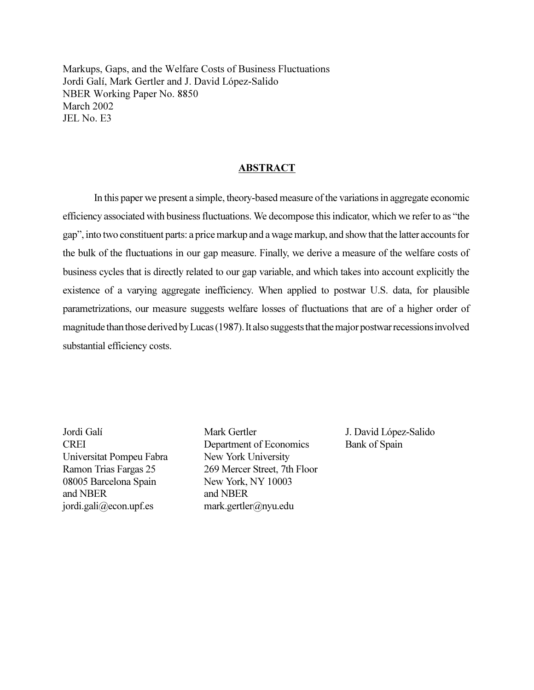Markups, Gaps, and the Welfare Costs of Business Fluctuations Jordi Galí, Mark Gertler and J. David López-Salido NBER Working Paper No. 8850 March 2002 JEL No. E3

#### ABSTRACT

In this paper we present a simple, theory-based measure of the variations in aggregate economic efficiency associated with business fluctuations. We decompose this indicator, which we refer to as "the gap", into two constituent parts: a price markup and a wage markup, and show that the latter accounts for the bulk of the fluctuations in our gap measure. Finally, we derive a measure of the welfare costs of business cycles that is directly related to our gap variable, and which takes into account explicitly the existence of a varying aggregate inefficiency. When applied to postwar U.S. data, for plausible parametrizations, our measure suggests welfare losses of fluctuations that are of a higher order of magnitude than those derived by Lucas (1987). It also suggests that the major postwar recessions involved substantial efficiency costs.

Universitat Pompeu Fabra New York University 08005 Barcelona Spain New York, NY 10003 and NBER and NBER jordi.gali@econ.upf.es mark.gertler@nyu.edu

Jordi Galí Mark Gertler J. David López-Salido CREI Department of Economics Bank of Spain Ramon Trias Fargas 25 269 Mercer Street, 7th Floor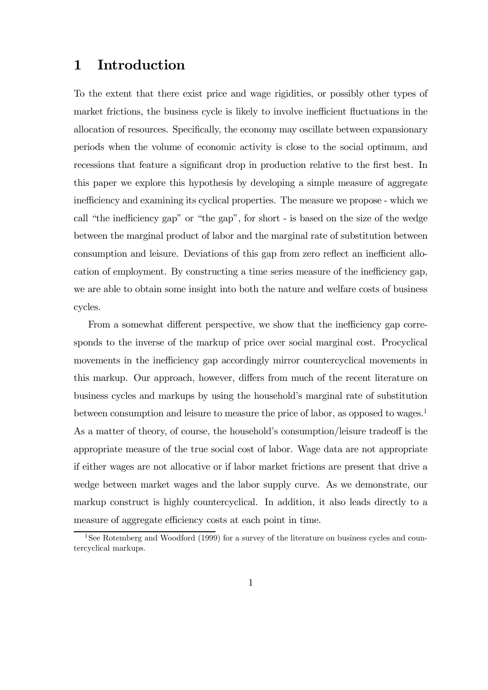## 1 Introduction

To the extent that there exist price and wage rigidities, or possibly other types of market frictions, the business cycle is likely to involve inefficient fluctuations in the allocation of resources. Specifically, the economy may oscillate between expansionary periods when the volume of economic activity is close to the social optimum, and recessions that feature a significant drop in production relative to the first best. In this paper we explore this hypothesis by developing a simple measure of aggregate inefficiency and examining its cyclical properties. The measure we propose - which we call "the inefficiency gap" or "the gap", for short - is based on the size of the wedge between the marginal product of labor and the marginal rate of substitution between consumption and leisure. Deviations of this gap from zero reflect an inefficient allocation of employment. By constructing a time series measure of the inefficiency gap, we are able to obtain some insight into both the nature and welfare costs of business cycles.

From a somewhat different perspective, we show that the inefficiency gap corresponds to the inverse of the markup of price over social marginal cost. Procyclical movements in the inefficiency gap accordingly mirror countercyclical movements in this markup. Our approach, however, differs from much of the recent literature on business cycles and markups by using the household's marginal rate of substitution between consumption and leisure to measure the price of labor, as opposed to wages.<sup>1</sup> As a matter of theory, of course, the household's consumption/leisure tradeoff is the appropriate measure of the true social cost of labor. Wage data are not appropriate if either wages are not allocative or if labor market frictions are present that drive a wedge between market wages and the labor supply curve. As we demonstrate, our markup construct is highly countercyclical. In addition, it also leads directly to a measure of aggregate efficiency costs at each point in time.

 $\overline{^{1}$ See Rotemberg and Woodford (1999) for a survey of the literature on business cycles and countercyclical markups.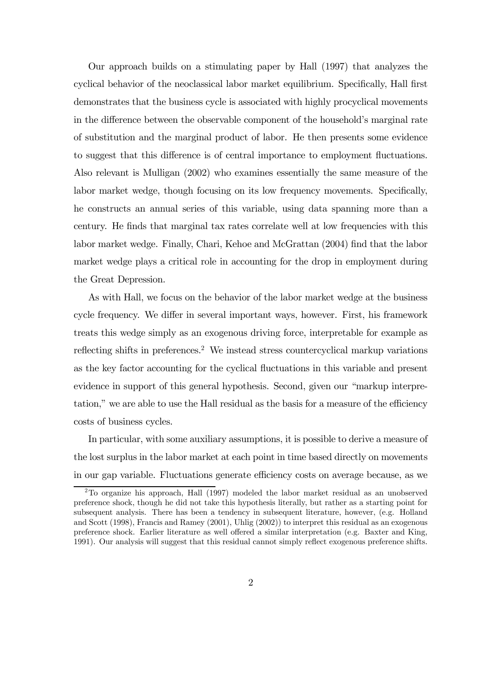Our approach builds on a stimulating paper by Hall (1997) that analyzes the cyclical behavior of the neoclassical labor market equilibrium. Specifically, Hall first demonstrates that the business cycle is associated with highly procyclical movements in the difference between the observable component of the household's marginal rate of substitution and the marginal product of labor. He then presents some evidence to suggest that this difference is of central importance to employment fluctuations. Also relevant is Mulligan (2002) who examines essentially the same measure of the labor market wedge, though focusing on its low frequency movements. Specifically, he constructs an annual series of this variable, using data spanning more than a century. He finds that marginal tax rates correlate well at low frequencies with this labor market wedge. Finally, Chari, Kehoe and McGrattan (2004) find that the labor market wedge plays a critical role in accounting for the drop in employment during the Great Depression.

As with Hall, we focus on the behavior of the labor market wedge at the business cycle frequency. We differ in several important ways, however. First, his framework treats this wedge simply as an exogenous driving force, interpretable for example as reflecting shifts in preferences.<sup>2</sup> We instead stress countercyclical markup variations as the key factor accounting for the cyclical fluctuations in this variable and present evidence in support of this general hypothesis. Second, given our "markup interpretation," we are able to use the Hall residual as the basis for a measure of the efficiency costs of business cycles.

In particular, with some auxiliary assumptions, it is possible to derive a measure of the lost surplus in the labor market at each point in time based directly on movements in our gap variable. Fluctuations generate efficiency costs on average because, as we

<sup>2</sup>To organize his approach, Hall (1997) modeled the labor market residual as an unobserved preference shock, though he did not take this hypothesis literally, but rather as a starting point for subsequent analysis. There has been a tendency in subsequent literature, however, (e.g. Holland and Scott (1998), Francis and Ramey (2001), Uhlig (2002)) to interpret this residual as an exogenous preference shock. Earlier literature as well offered a similar interpretation (e.g. Baxter and King, 1991). Our analysis will suggest that this residual cannot simply reflect exogenous preference shifts.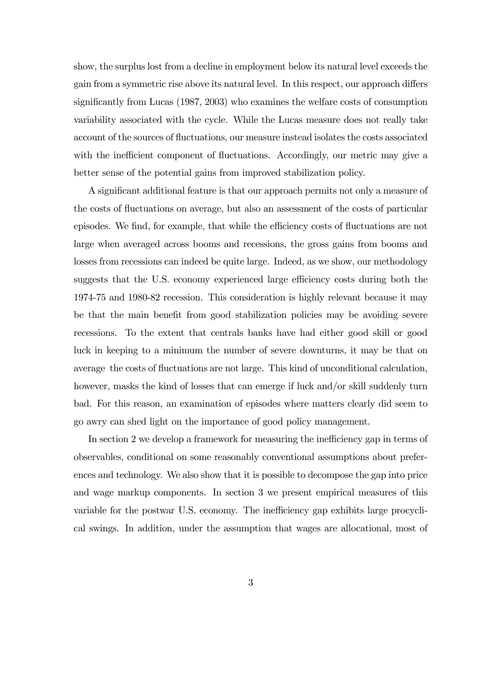show, the surplus lost from a decline in employment below its natural level exceeds the gain from a symmetric rise above its natural level. In this respect, our approach differs significantly from Lucas (1987, 2003) who examines the welfare costs of consumption variability associated with the cycle. While the Lucas measure does not really take account of the sources of fluctuations, our measure instead isolates the costs associated with the inefficient component of fluctuations. Accordingly, our metric may give a better sense of the potential gains from improved stabilization policy.

A significant additional feature is that our approach permits not only a measure of the costs of fluctuations on average, but also an assessment of the costs of particular episodes. We find, for example, that while the efficiency costs of fluctuations are not large when averaged across booms and recessions, the gross gains from booms and losses from recessions can indeed be quite large. Indeed, as we show, our methodology suggests that the U.S. economy experienced large efficiency costs during both the 1974-75 and 1980-82 recession. This consideration is highly relevant because it may be that the main benefit from good stabilization policies may be avoiding severe recessions. To the extent that centrals banks have had either good skill or good luck in keeping to a minimum the number of severe downturns, it may be that on average the costs of fluctuations are not large. This kind of unconditional calculation, however, masks the kind of losses that can emerge if luck and/or skill suddenly turn bad. For this reason, an examination of episodes where matters clearly did seem to go awry can shed light on the importance of good policy management.

In section 2 we develop a framework for measuring the inefficiency gap in terms of observables, conditional on some reasonably conventional assumptions about preferences and technology. We also show that it is possible to decompose the gap into price and wage markup components. In section 3 we present empirical measures of this variable for the postwar U.S. economy. The inefficiency gap exhibits large procyclical swings. In addition, under the assumption that wages are allocational, most of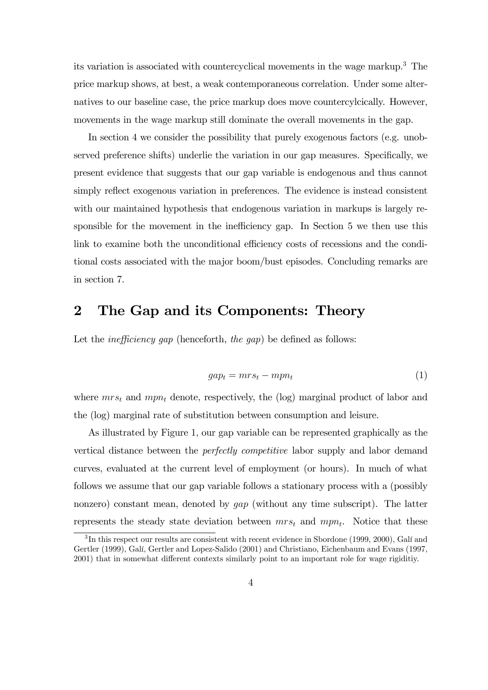its variation is associated with countercyclical movements in the wage markup.3 The price markup shows, at best, a weak contemporaneous correlation. Under some alternatives to our baseline case, the price markup does move countercylcically. However, movements in the wage markup still dominate the overall movements in the gap.

In section 4 we consider the possibility that purely exogenous factors (e.g. unobserved preference shifts) underlie the variation in our gap measures. Specifically, we present evidence that suggests that our gap variable is endogenous and thus cannot simply reflect exogenous variation in preferences. The evidence is instead consistent with our maintained hypothesis that endogenous variation in markups is largely responsible for the movement in the inefficiency gap. In Section 5 we then use this link to examine both the unconditional efficiency costs of recessions and the conditional costs associated with the major boom/bust episodes. Concluding remarks are in section 7.

## 2 The Gap and its Components: Theory

Let the *inefficiency gap* (henceforth, *the gap*) be defined as follows:

$$
gap_t = mrs_t - mpn_t \tag{1}
$$

where  $mrs_t$  and  $mpn_t$  denote, respectively, the (log) marginal product of labor and the (log) marginal rate of substitution between consumption and leisure.

As illustrated by Figure 1, our gap variable can be represented graphically as the vertical distance between the perfectly competitive labor supply and labor demand curves, evaluated at the current level of employment (or hours). In much of what follows we assume that our gap variable follows a stationary process with a (possibly nonzero) constant mean, denoted by *gap* (without any time subscript). The latter represents the steady state deviation between  $mrs_t$  and  $mpn_t$ . Notice that these

<sup>&</sup>lt;sup>3</sup>In this respect our results are consistent with recent evidence in Sbordone (1999, 2000), Galí and Gertler (1999), Galí, Gertler and Lopez-Salido (2001) and Christiano, Eichenbaum and Evans (1997, 2001) that in somewhat different contexts similarly point to an important role for wage rigiditiy.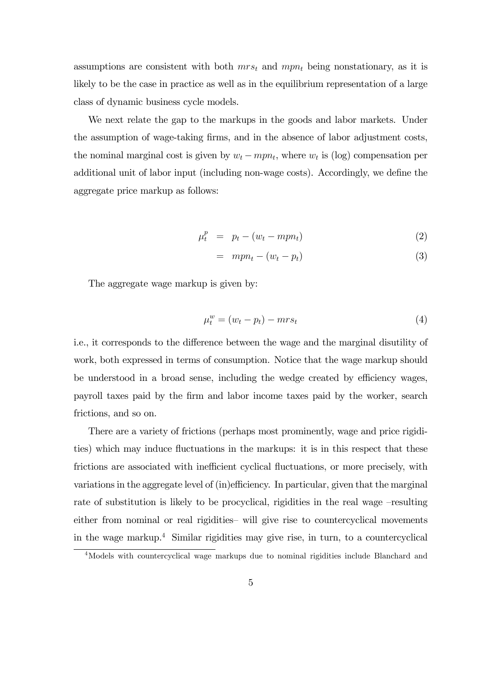assumptions are consistent with both  $mrs_t$  and  $mpn_t$  being nonstationary, as it is likely to be the case in practice as well as in the equilibrium representation of a large class of dynamic business cycle models.

We next relate the gap to the markups in the goods and labor markets. Under the assumption of wage-taking firms, and in the absence of labor adjustment costs, the nominal marginal cost is given by  $w_t - mpn_t$ , where  $w_t$  is (log) compensation per additional unit of labor input (including non-wage costs). Accordingly, we define the aggregate price markup as follows:

$$
\mu_t^p = p_t - (w_t - mp_n) \tag{2}
$$

$$
= \quad mpn_t - (w_t - p_t) \tag{3}
$$

The aggregate wage markup is given by:

$$
\mu_t^w = (w_t - p_t) - mrs_t \tag{4}
$$

i.e., it corresponds to the difference between the wage and the marginal disutility of work, both expressed in terms of consumption. Notice that the wage markup should be understood in a broad sense, including the wedge created by efficiency wages, payroll taxes paid by the firm and labor income taxes paid by the worker, search frictions, and so on.

There are a variety of frictions (perhaps most prominently, wage and price rigidities) which may induce fluctuations in the markups: it is in this respect that these frictions are associated with inefficient cyclical fluctuations, or more precisely, with variations in the aggregate level of (in)efficiency. In particular, given that the marginal rate of substitution is likely to be procyclical, rigidities in the real wage —resulting either from nominal or real rigidities— will give rise to countercyclical movements in the wage markup.<sup>4</sup> Similar rigidities may give rise, in turn, to a countercyclical

<sup>4</sup>Models with countercyclical wage markups due to nominal rigidities include Blanchard and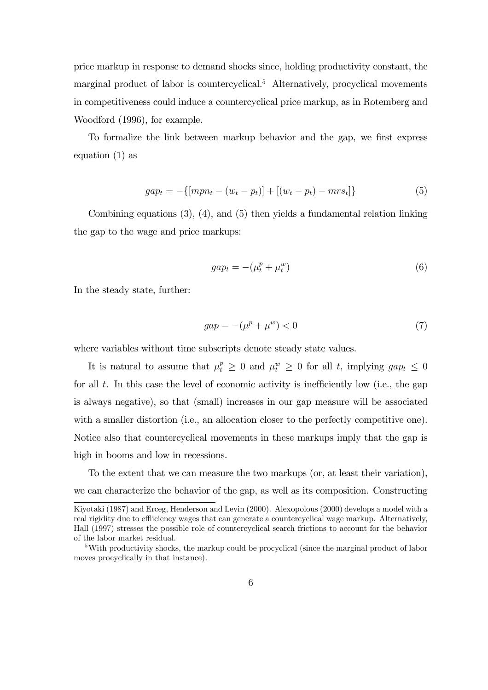price markup in response to demand shocks since, holding productivity constant, the marginal product of labor is countercyclical.<sup>5</sup> Alternatively, procyclical movements in competitiveness could induce a countercyclical price markup, as in Rotemberg and Woodford (1996), for example.

To formalize the link between markup behavior and the gap, we first express equation (1) as

$$
gap_t = -\{[mpn_t - (w_t - p_t)] + [(w_t - p_t) - mrs_t]\}\
$$
\n(5)

Combining equations (3), (4), and (5) then yields a fundamental relation linking the gap to the wage and price markups:

$$
gap_t = -(\mu_t^p + \mu_t^w) \tag{6}
$$

In the steady state, further:

$$
gap = -(\mu^p + \mu^w) < 0 \tag{7}
$$

where variables without time subscripts denote steady state values.

It is natural to assume that  $\mu_t^p \geq 0$  and  $\mu_t^w \geq 0$  for all t, implying  $gap_t \leq 0$ for all  $t$ . In this case the level of economic activity is inefficiently low (i.e., the gap is always negative), so that (small) increases in our gap measure will be associated with a smaller distortion (i.e., an allocation closer to the perfectly competitive one). Notice also that countercyclical movements in these markups imply that the gap is high in booms and low in recessions.

To the extent that we can measure the two markups (or, at least their variation), we can characterize the behavior of the gap, as well as its composition. Constructing

Kiyotaki (1987) and Erceg, Henderson and Levin (2000). Alexopolous (2000) develops a model with a real rigidity due to effiiciency wages that can generate a countercyclical wage markup. Alternatively, Hall (1997) stresses the possible role of countercyclical search frictions to account for the behavior of the labor market residual.

<sup>&</sup>lt;sup>5</sup>With productivity shocks, the markup could be procyclical (since the marginal product of labor moves procyclically in that instance).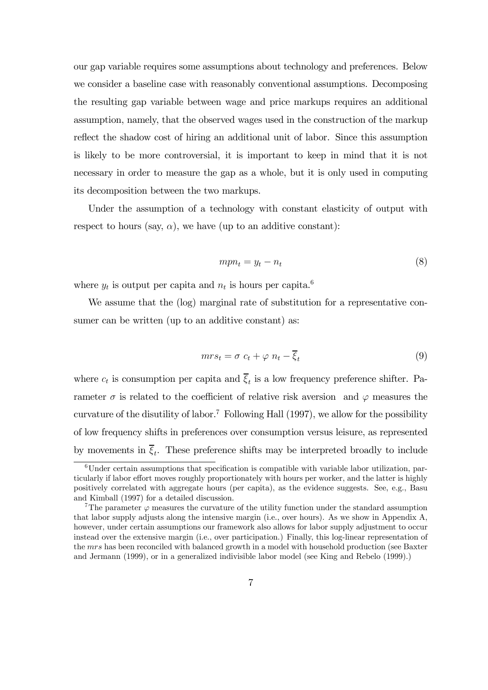our gap variable requires some assumptions about technology and preferences. Below we consider a baseline case with reasonably conventional assumptions. Decomposing the resulting gap variable between wage and price markups requires an additional assumption, namely, that the observed wages used in the construction of the markup reflect the shadow cost of hiring an additional unit of labor. Since this assumption is likely to be more controversial, it is important to keep in mind that it is not necessary in order to measure the gap as a whole, but it is only used in computing its decomposition between the two markups.

Under the assumption of a technology with constant elasticity of output with respect to hours (say,  $\alpha$ ), we have (up to an additive constant):

$$
m p n_t = y_t - n_t \tag{8}
$$

where  $y_t$  is output per capita and  $n_t$  is hours per capita.<sup>6</sup>

We assume that the  $log$  marginal rate of substitution for a representative consumer can be written (up to an additive constant) as:

$$
mrs_t = \sigma c_t + \varphi n_t - \overline{\xi}_t \tag{9}
$$

where  $c_t$  is consumption per capita and  $\overline{\xi}_t$  is a low frequency preference shifter. Parameter  $\sigma$  is related to the coefficient of relative risk aversion and  $\varphi$  measures the curvature of the disutility of labor.<sup>7</sup> Following Hall  $(1997)$ , we allow for the possibility of low frequency shifts in preferences over consumption versus leisure, as represented by movements in  $\overline{\xi}_t$ . These preference shifts may be interpreted broadly to include

 $6$ Under certain assumptions that specification is compatible with variable labor utilization, particularly if labor effort moves roughly proportionately with hours per worker, and the latter is highly positively correlated with aggregate hours (per capita), as the evidence suggests. See, e.g., Basu and Kimball (1997) for a detailed discussion.

<sup>&</sup>lt;sup>7</sup>The parameter  $\varphi$  measures the curvature of the utility function under the standard assumption that labor supply adjusts along the intensive margin (i.e., over hours). As we show in Appendix A, however, under certain assumptions our framework also allows for labor supply adjustment to occur instead over the extensive margin (i.e., over participation.) Finally, this log-linear representation of the mrs has been reconciled with balanced growth in a model with household production (see Baxter and Jermann (1999), or in a generalized indivisible labor model (see King and Rebelo (1999).)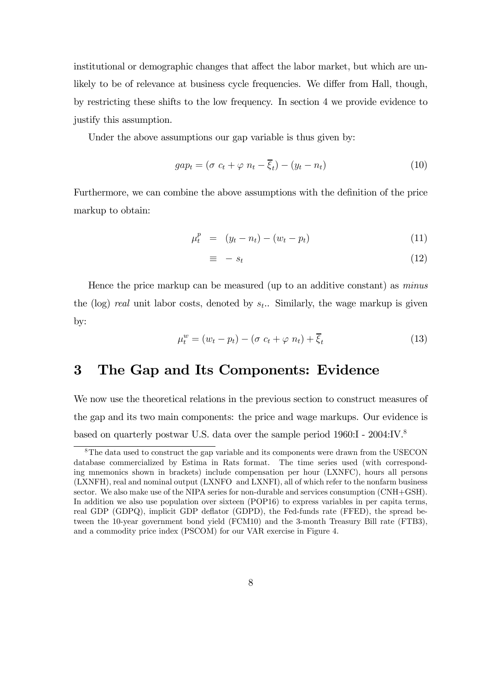institutional or demographic changes that affect the labor market, but which are unlikely to be of relevance at business cycle frequencies. We differ from Hall, though, by restricting these shifts to the low frequency. In section 4 we provide evidence to justify this assumption.

Under the above assumptions our gap variable is thus given by:

$$
gap_t = (\sigma c_t + \varphi n_t - \overline{\xi}_t) - (y_t - n_t)
$$
\n(10)

Furthermore, we can combine the above assumptions with the definition of the price markup to obtain:

$$
\mu_t^p = (y_t - n_t) - (w_t - p_t) \tag{11}
$$

$$
\equiv -s_t \tag{12}
$$

Hence the price markup can be measured (up to an additive constant) as minus the (log) real unit labor costs, denoted by  $s_t$ .. Similarly, the wage markup is given by:

$$
\mu_t^w = (w_t - p_t) - (\sigma c_t + \varphi n_t) + \overline{\xi}_t \tag{13}
$$

## 3 The Gap and Its Components: Evidence

We now use the theoretical relations in the previous section to construct measures of the gap and its two main components: the price and wage markups. Our evidence is based on quarterly postwar U.S. data over the sample period 1960:I - 2004:IV.8

<sup>8</sup>The data used to construct the gap variable and its components were drawn from the USECON database commercialized by Estima in Rats format. The time series used (with corresponding mnemonics shown in brackets) include compensation per hour (LXNFC), hours all persons (LXNFH), real and nominal output (LXNFO and LXNFI), all of which refer to the nonfarm business sector. We also make use of the NIPA series for non-durable and services consumption (CNH+GSH). In addition we also use population over sixteen (POP16) to express variables in per capita terms, real GDP (GDPQ), implicit GDP deflator (GDPD), the Fed-funds rate (FFED), the spread between the 10-year government bond yield (FCM10) and the 3-month Treasury Bill rate (FTB3), and a commodity price index (PSCOM) for our VAR exercise in Figure 4.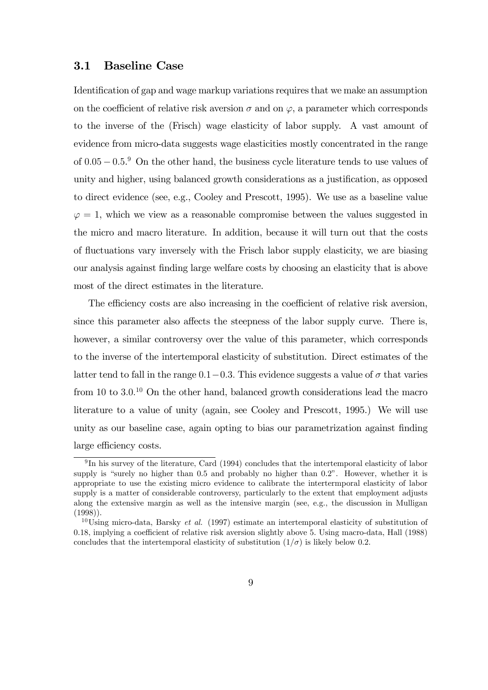### 3.1 Baseline Case

Identification of gap and wage markup variations requires that we make an assumption on the coefficient of relative risk aversion  $\sigma$  and on  $\varphi$ , a parameter which corresponds to the inverse of the (Frisch) wage elasticity of labor supply. A vast amount of evidence from micro-data suggests wage elasticities mostly concentrated in the range of 0.05 − 0.5. <sup>9</sup> On the other hand, the business cycle literature tends to use values of unity and higher, using balanced growth considerations as a justification, as opposed to direct evidence (see, e.g., Cooley and Prescott, 1995). We use as a baseline value  $\varphi = 1$ , which we view as a reasonable compromise between the values suggested in the micro and macro literature. In addition, because it will turn out that the costs of fluctuations vary inversely with the Frisch labor supply elasticity, we are biasing our analysis against finding large welfare costs by choosing an elasticity that is above most of the direct estimates in the literature.

The efficiency costs are also increasing in the coefficient of relative risk aversion, since this parameter also affects the steepness of the labor supply curve. There is, however, a similar controversy over the value of this parameter, which corresponds to the inverse of the intertemporal elasticity of substitution. Direct estimates of the latter tend to fall in the range  $0.1-0.3$ . This evidence suggests a value of  $\sigma$  that varies from 10 to 3.0.<sup>10</sup> On the other hand, balanced growth considerations lead the macro literature to a value of unity (again, see Cooley and Prescott, 1995.) We will use unity as our baseline case, again opting to bias our parametrization against finding large efficiency costs.

<sup>9</sup> In his survey of the literature, Card (1994) concludes that the intertemporal elasticity of labor supply is "surely no higher than 0.5 and probably no higher than 0.2". However, whether it is appropriate to use the existing micro evidence to calibrate the intertermporal elasticity of labor supply is a matter of considerable controversy, particularly to the extent that employment adjusts along the extensive margin as well as the intensive margin (see, e.g., the discussion in Mulligan  $(1998)$ .

<sup>&</sup>lt;sup>10</sup>Using micro-data, Barsky *et al.* (1997) estimate an intertemporal elasticity of substitution of 0.18, implying a coefficient of relative risk aversion slightly above 5. Using macro-data, Hall (1988) concludes that the intertemporal elasticity of substitution  $(1/\sigma)$  is likely below 0.2.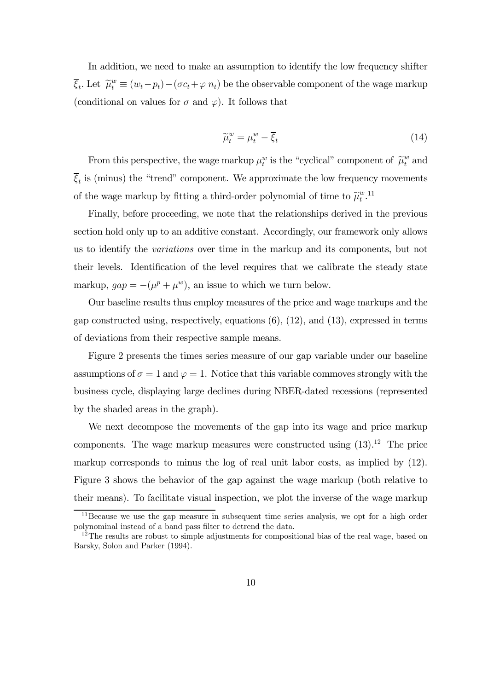In addition, we need to make an assumption to identify the low frequency shifter  $\overline{\xi}_t$ . Let  $\widetilde{\mu}_t^w \equiv (w_t - p_t) - (\sigma c_t + \varphi n_t)$  be the observable component of the wage markup (conditional on values for  $\sigma$  and  $\varphi$ ). It follows that

$$
\widetilde{\mu}_t^w = \mu_t^w - \overline{\xi}_t \tag{14}
$$

From this perspective, the wage markup  $\mu_t^w$  is the "cyclical" component of  $\tilde{\mu}_t^w$  and  $\overline{\xi}_t$  is (minus) the "trend" component. We approximate the low frequency movements of the wage markup by fitting a third-order polynomial of time to  $\tilde{\mu}_t^{w}$ .<sup>11</sup>

Finally, before proceeding, we note that the relationships derived in the previous section hold only up to an additive constant. Accordingly, our framework only allows us to identify the variations over time in the markup and its components, but not their levels. Identification of the level requires that we calibrate the steady state markup,  $gap = -(\mu^p + \mu^w)$ , an issue to which we turn below.

Our baseline results thus employ measures of the price and wage markups and the gap constructed using, respectively, equations (6), (12), and (13), expressed in terms of deviations from their respective sample means.

Figure 2 presents the times series measure of our gap variable under our baseline assumptions of  $\sigma = 1$  and  $\varphi = 1$ . Notice that this variable commoves strongly with the business cycle, displaying large declines during NBER-dated recessions (represented by the shaded areas in the graph).

We next decompose the movements of the gap into its wage and price markup components. The wage markup measures were constructed using  $(13)^{12}$ . The price markup corresponds to minus the log of real unit labor costs, as implied by (12). Figure 3 shows the behavior of the gap against the wage markup (both relative to their means). To facilitate visual inspection, we plot the inverse of the wage markup

 $11$ Because we use the gap measure in subsequent time series analysis, we opt for a high order polynominal instead of a band pass filter to detrend the data.

 $12$ The results are robust to simple adjustments for compositional bias of the real wage, based on Barsky, Solon and Parker (1994).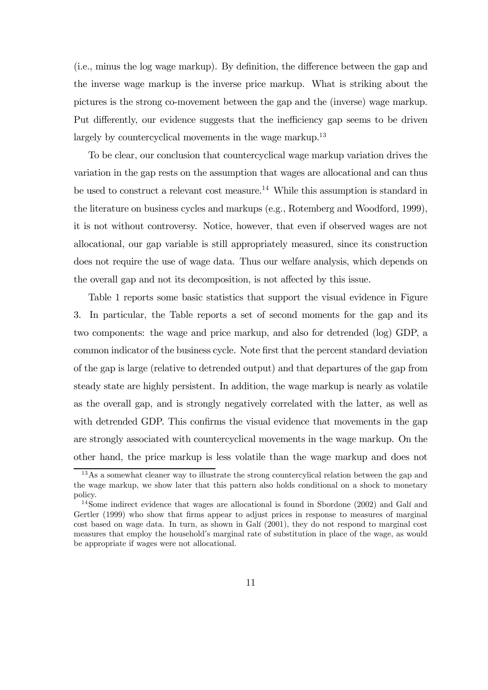(i.e., minus the log wage markup). By definition, the difference between the gap and the inverse wage markup is the inverse price markup. What is striking about the pictures is the strong co-movement between the gap and the (inverse) wage markup. Put differently, our evidence suggests that the inefficiency gap seems to be driven largely by countercyclical movements in the wage markup.<sup>13</sup>

To be clear, our conclusion that countercyclical wage markup variation drives the variation in the gap rests on the assumption that wages are allocational and can thus be used to construct a relevant cost measure.<sup>14</sup> While this assumption is standard in the literature on business cycles and markups (e.g., Rotemberg and Woodford, 1999), it is not without controversy. Notice, however, that even if observed wages are not allocational, our gap variable is still appropriately measured, since its construction does not require the use of wage data. Thus our welfare analysis, which depends on the overall gap and not its decomposition, is not affected by this issue.

Table 1 reports some basic statistics that support the visual evidence in Figure 3. In particular, the Table reports a set of second moments for the gap and its two components: the wage and price markup, and also for detrended (log) GDP, a common indicator of the business cycle. Note first that the percent standard deviation of the gap is large (relative to detrended output) and that departures of the gap from steady state are highly persistent. In addition, the wage markup is nearly as volatile as the overall gap, and is strongly negatively correlated with the latter, as well as with detrended GDP. This confirms the visual evidence that movements in the gap are strongly associated with countercyclical movements in the wage markup. On the other hand, the price markup is less volatile than the wage markup and does not

<sup>&</sup>lt;sup>13</sup>As a somewhat cleaner way to illustrate the strong countercylical relation between the gap and the wage markup, we show later that this pattern also holds conditional on a shock to monetary policy.

<sup>14</sup>Some indirect evidence that wages are allocational is found in Sbordone (2002) and Galí and Gertler (1999) who show that firms appear to adjust prices in response to measures of marginal cost based on wage data. In turn, as shown in Galí (2001), they do not respond to marginal cost measures that employ the household's marginal rate of substitution in place of the wage, as would be appropriate if wages were not allocational.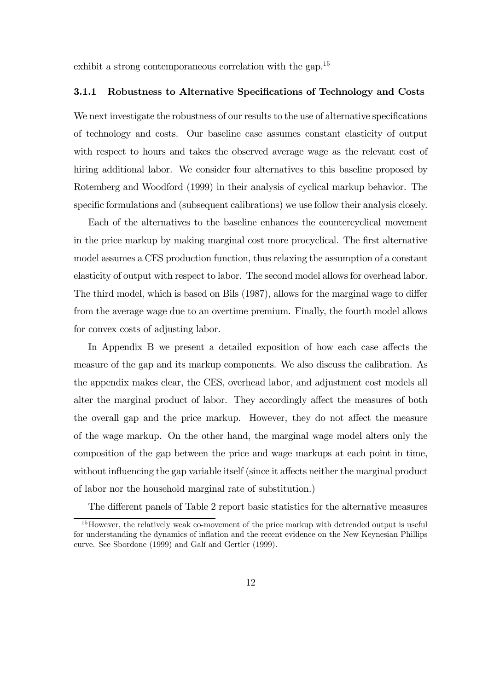exhibit a strong contemporaneous correlation with the gap.<sup>15</sup>

#### 3.1.1 Robustness to Alternative Specifications of Technology and Costs

We next investigate the robustness of our results to the use of alternative specifications of technology and costs. Our baseline case assumes constant elasticity of output with respect to hours and takes the observed average wage as the relevant cost of hiring additional labor. We consider four alternatives to this baseline proposed by Rotemberg and Woodford (1999) in their analysis of cyclical markup behavior. The specific formulations and (subsequent calibrations) we use follow their analysis closely.

Each of the alternatives to the baseline enhances the countercyclical movement in the price markup by making marginal cost more procyclical. The first alternative model assumes a CES production function, thus relaxing the assumption of a constant elasticity of output with respect to labor. The second model allows for overhead labor. The third model, which is based on Bils (1987), allows for the marginal wage to differ from the average wage due to an overtime premium. Finally, the fourth model allows for convex costs of adjusting labor.

In Appendix B we present a detailed exposition of how each case affects the measure of the gap and its markup components. We also discuss the calibration. As the appendix makes clear, the CES, overhead labor, and adjustment cost models all alter the marginal product of labor. They accordingly affect the measures of both the overall gap and the price markup. However, they do not affect the measure of the wage markup. On the other hand, the marginal wage model alters only the composition of the gap between the price and wage markups at each point in time, without influencing the gap variable itself (since it affects neither the marginal product of labor nor the household marginal rate of substitution.)

The different panels of Table 2 report basic statistics for the alternative measures

<sup>&</sup>lt;sup>15</sup>However, the relatively weak co-movement of the price markup with detrended output is useful for understanding the dynamics of inflation and the recent evidence on the New Keynesian Phillips curve. See Sbordone (1999) and Galí and Gertler (1999).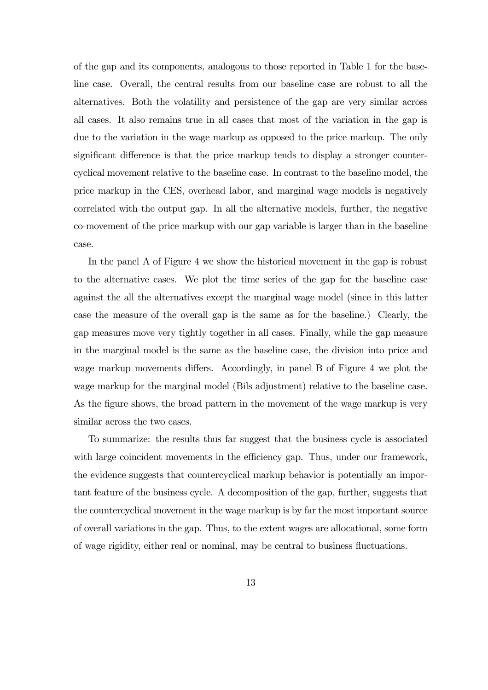of the gap and its components, analogous to those reported in Table 1 for the baseline case. Overall, the central results from our baseline case are robust to all the alternatives. Both the volatility and persistence of the gap are very similar across all cases. It also remains true in all cases that most of the variation in the gap is due to the variation in the wage markup as opposed to the price markup. The only significant difference is that the price markup tends to display a stronger countercyclical movement relative to the baseline case. In contrast to the baseline model, the price markup in the CES, overhead labor, and marginal wage models is negatively correlated with the output gap. In all the alternative models, further, the negative co-movement of the price markup with our gap variable is larger than in the baseline case.

In the panel A of Figure 4 we show the historical movement in the gap is robust to the alternative cases. We plot the time series of the gap for the baseline case against the all the alternatives except the marginal wage model (since in this latter case the measure of the overall gap is the same as for the baseline.) Clearly, the gap measures move very tightly together in all cases. Finally, while the gap measure in the marginal model is the same as the baseline case, the division into price and wage markup movements differs. Accordingly, in panel B of Figure 4 we plot the wage markup for the marginal model (Bils adjustment) relative to the baseline case. As the figure shows, the broad pattern in the movement of the wage markup is very similar across the two cases.

To summarize: the results thus far suggest that the business cycle is associated with large coincident movements in the efficiency gap. Thus, under our framework, the evidence suggests that countercyclical markup behavior is potentially an important feature of the business cycle. A decomposition of the gap, further, suggests that the countercyclical movement in the wage markup is by far the most important source of overall variations in the gap. Thus, to the extent wages are allocational, some form of wage rigidity, either real or nominal, may be central to business fluctuations.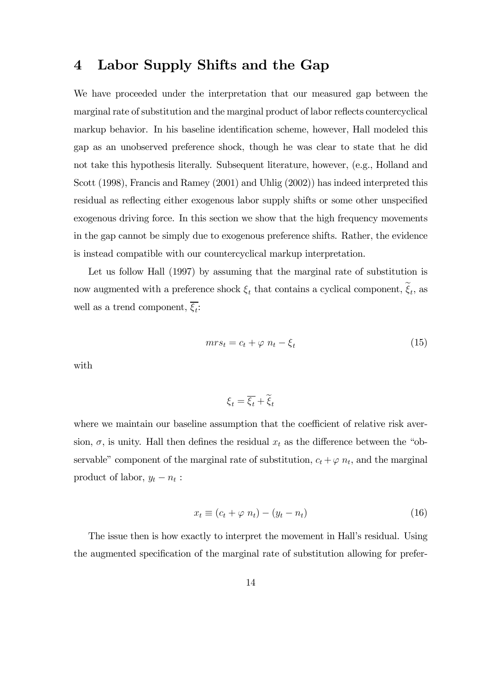## 4 Labor Supply Shifts and the Gap

We have proceeded under the interpretation that our measured gap between the marginal rate of substitution and the marginal product of labor reflects countercyclical markup behavior. In his baseline identification scheme, however, Hall modeled this gap as an unobserved preference shock, though he was clear to state that he did not take this hypothesis literally. Subsequent literature, however, (e.g., Holland and Scott (1998), Francis and Ramey (2001) and Uhlig (2002)) has indeed interpreted this residual as reflecting either exogenous labor supply shifts or some other unspecified exogenous driving force. In this section we show that the high frequency movements in the gap cannot be simply due to exogenous preference shifts. Rather, the evidence is instead compatible with our countercyclical markup interpretation.

Let us follow Hall (1997) by assuming that the marginal rate of substitution is now augmented with a preference shock  $\xi_t$  that contains a cyclical component,<br>  $\widetilde{\xi}_t,$  as well as a trend component,  $\overline{\xi_t}$ :

$$
mrs_t = c_t + \varphi \ n_t - \xi_t \tag{15}
$$

with

$$
\xi_t = \overline{\xi_t} + \widetilde{\xi}_t
$$

where we maintain our baseline assumption that the coefficient of relative risk aversion,  $\sigma$ , is unity. Hall then defines the residual  $x_t$  as the difference between the "observable" component of the marginal rate of substitution,  $c_t + \varphi \, n_t$ , and the marginal product of labor,  $y_t - n_t$ :

$$
x_t \equiv (c_t + \varphi \ n_t) - (y_t - n_t) \tag{16}
$$

The issue then is how exactly to interpret the movement in Hall's residual. Using the augmented specification of the marginal rate of substitution allowing for prefer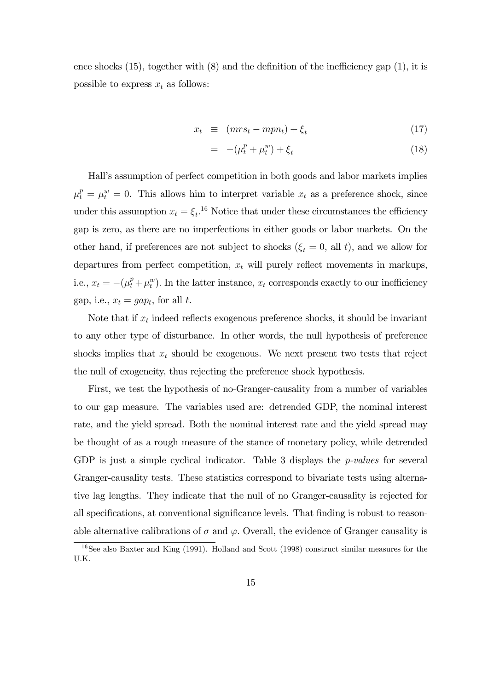ence shocks  $(15)$ , together with  $(8)$  and the definition of the inefficiency gap  $(1)$ , it is possible to express  $x_t$  as follows:

$$
x_t \equiv (mrs_t - mpt_t) + \xi_t \tag{17}
$$

$$
= -(\mu_t^p + \mu_t^w) + \xi_t \tag{18}
$$

Hall's assumption of perfect competition in both goods and labor markets implies  $\mu_t^p = \mu_t^w = 0$ . This allows him to interpret variable  $x_t$  as a preference shock, since under this assumption  $x_t = \xi_t$ <sup>16</sup> Notice that under these circumstances the efficiency gap is zero, as there are no imperfections in either goods or labor markets. On the other hand, if preferences are not subject to shocks ( $\xi_t = 0$ , all t), and we allow for departures from perfect competition,  $x_t$  will purely reflect movements in markups, i.e.,  $x_t = -(\mu_t^p + \mu_t^w)$ . In the latter instance,  $x_t$  corresponds exactly to our inefficiency gap, i.e.,  $x_t = gap_t$ , for all t.

Note that if  $x_t$  indeed reflects exogenous preference shocks, it should be invariant to any other type of disturbance. In other words, the null hypothesis of preference shocks implies that  $x_t$  should be exogenous. We next present two tests that reject the null of exogeneity, thus rejecting the preference shock hypothesis.

First, we test the hypothesis of no-Granger-causality from a number of variables to our gap measure. The variables used are: detrended GDP, the nominal interest rate, and the yield spread. Both the nominal interest rate and the yield spread may be thought of as a rough measure of the stance of monetary policy, while detrended GDP is just a simple cyclical indicator. Table 3 displays the *p-values* for several Granger-causality tests. These statistics correspond to bivariate tests using alternative lag lengths. They indicate that the null of no Granger-causality is rejected for all specifications, at conventional significance levels. That finding is robust to reasonable alternative calibrations of  $\sigma$  and  $\varphi$ . Overall, the evidence of Granger causality is

<sup>&</sup>lt;sup>16</sup>See also Baxter and King (1991). Holland and Scott (1998) construct similar measures for the U.K.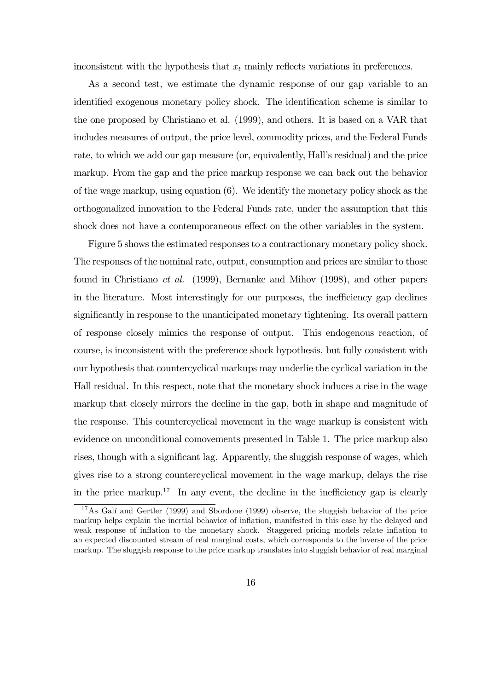inconsistent with the hypothesis that  $x_t$  mainly reflects variations in preferences.

As a second test, we estimate the dynamic response of our gap variable to an identified exogenous monetary policy shock. The identification scheme is similar to the one proposed by Christiano et al. (1999), and others. It is based on a VAR that includes measures of output, the price level, commodity prices, and the Federal Funds rate, to which we add our gap measure (or, equivalently, Hall's residual) and the price markup. From the gap and the price markup response we can back out the behavior of the wage markup, using equation (6). We identify the monetary policy shock as the orthogonalized innovation to the Federal Funds rate, under the assumption that this shock does not have a contemporaneous effect on the other variables in the system.

Figure 5 shows the estimated responses to a contractionary monetary policy shock. The responses of the nominal rate, output, consumption and prices are similar to those found in Christiano et al. (1999), Bernanke and Mihov (1998), and other papers in the literature. Most interestingly for our purposes, the inefficiency gap declines significantly in response to the unanticipated monetary tightening. Its overall pattern of response closely mimics the response of output. This endogenous reaction, of course, is inconsistent with the preference shock hypothesis, but fully consistent with our hypothesis that countercyclical markups may underlie the cyclical variation in the Hall residual. In this respect, note that the monetary shock induces a rise in the wage markup that closely mirrors the decline in the gap, both in shape and magnitude of the response. This countercyclical movement in the wage markup is consistent with evidence on unconditional comovements presented in Table 1. The price markup also rises, though with a significant lag. Apparently, the sluggish response of wages, which gives rise to a strong countercyclical movement in the wage markup, delays the rise in the price markup.17 In any event, the decline in the inefficiency gap is clearly

<sup>&</sup>lt;sup>17</sup>As Galí and Gertler (1999) and Sbordone (1999) observe, the sluggish behavior of the price markup helps explain the inertial behavior of inflation, manifested in this case by the delayed and weak response of inflation to the monetary shock. Staggered pricing models relate inflation to an expected discounted stream of real marginal costs, which corresponds to the inverse of the price markup. The sluggish response to the price markup translates into sluggish behavior of real marginal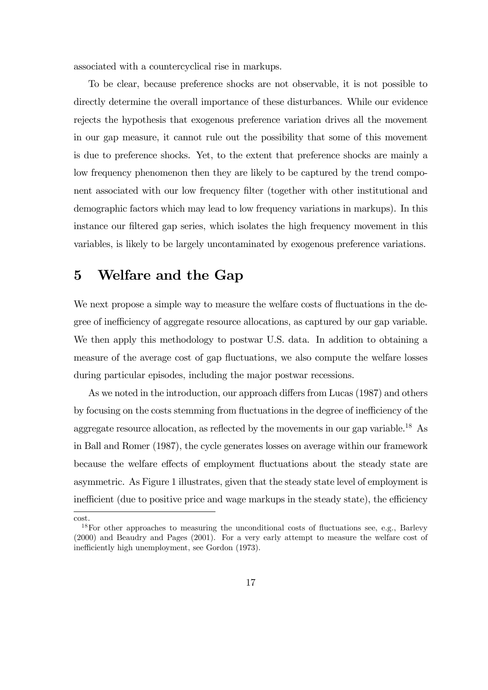associated with a countercyclical rise in markups.

To be clear, because preference shocks are not observable, it is not possible to directly determine the overall importance of these disturbances. While our evidence rejects the hypothesis that exogenous preference variation drives all the movement in our gap measure, it cannot rule out the possibility that some of this movement is due to preference shocks. Yet, to the extent that preference shocks are mainly a low frequency phenomenon then they are likely to be captured by the trend component associated with our low frequency filter (together with other institutional and demographic factors which may lead to low frequency variations in markups). In this instance our filtered gap series, which isolates the high frequency movement in this variables, is likely to be largely uncontaminated by exogenous preference variations.

## 5 Welfare and the Gap

We next propose a simple way to measure the welfare costs of fluctuations in the degree of inefficiency of aggregate resource allocations, as captured by our gap variable. We then apply this methodology to postwar U.S. data. In addition to obtaining a measure of the average cost of gap fluctuations, we also compute the welfare losses during particular episodes, including the major postwar recessions.

As we noted in the introduction, our approach differs from Lucas (1987) and others by focusing on the costs stemming from fluctuations in the degree of inefficiency of the aggregate resource allocation, as reflected by the movements in our gap variable.18 As in Ball and Romer (1987), the cycle generates losses on average within our framework because the welfare effects of employment fluctuations about the steady state are asymmetric. As Figure 1 illustrates, given that the steady state level of employment is inefficient (due to positive price and wage markups in the steady state), the efficiency

cost.

 $18$  For other approaches to measuring the unconditional costs of fluctuations see, e.g., Barlevy (2000) and Beaudry and Pages (2001). For a very early attempt to measure the welfare cost of inefficiently high unemployment, see Gordon (1973).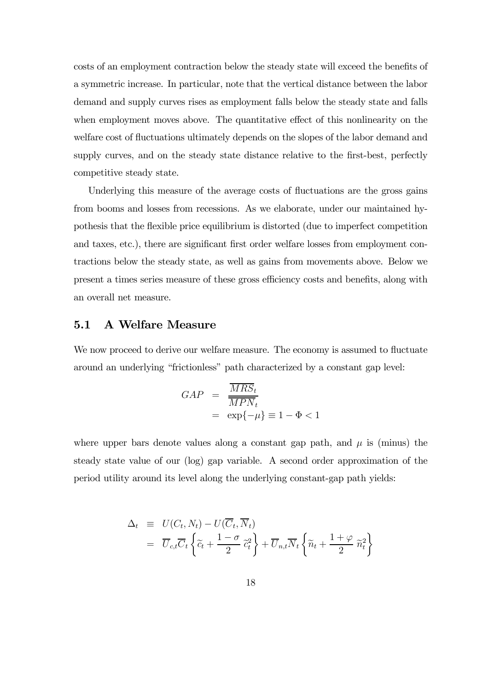costs of an employment contraction below the steady state will exceed the benefits of a symmetric increase. In particular, note that the vertical distance between the labor demand and supply curves rises as employment falls below the steady state and falls when employment moves above. The quantitative effect of this nonlinearity on the welfare cost of fluctuations ultimately depends on the slopes of the labor demand and supply curves, and on the steady state distance relative to the first-best, perfectly competitive steady state.

Underlying this measure of the average costs of fluctuations are the gross gains from booms and losses from recessions. As we elaborate, under our maintained hypothesis that the flexible price equilibrium is distorted (due to imperfect competition and taxes, etc.), there are significant first order welfare losses from employment contractions below the steady state, as well as gains from movements above. Below we present a times series measure of these gross efficiency costs and benefits, along with an overall net measure.

### 5.1 A Welfare Measure

We now proceed to derive our welfare measure. The economy is assumed to fluctuate around an underlying "frictionless" path characterized by a constant gap level:

$$
GAP = \frac{\overline{MRS}_t}{\overline{MPN}_t}
$$
  
=  $\exp{-\mu} = 1 - \Phi < 1$ 

where upper bars denote values along a constant gap path, and  $\mu$  is (minus) the steady state value of our (log) gap variable. A second order approximation of the period utility around its level along the underlying constant-gap path yields:

$$
\Delta_t \equiv U(C_t, N_t) - U(\overline{C}_t, \overline{N}_t)
$$
  
=  $\overline{U}_{c,t}\overline{C}_t \left\{ \widetilde{c}_t + \frac{1-\sigma}{2} \widetilde{c}_t^2 \right\} + \overline{U}_{n,t}\overline{N}_t \left\{ \widetilde{n}_t + \frac{1+\varphi}{2} \widetilde{n}_t^2 \right\}$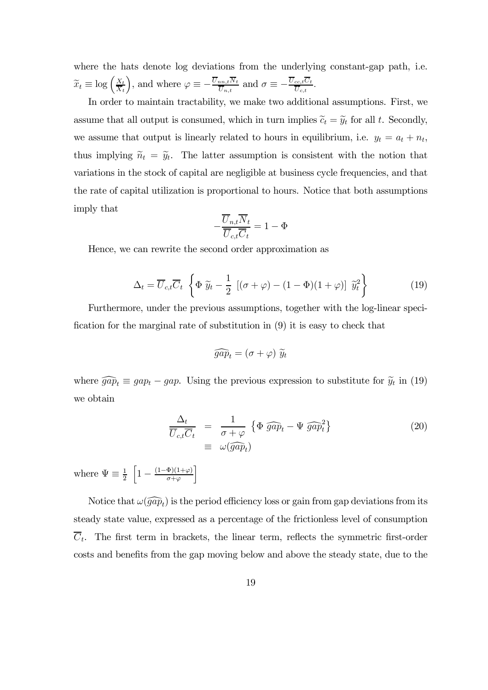where the hats denote log deviations from the underlying constant-gap path, i.e.  $\widetilde{x}_t \equiv \log \left( \frac{X_t}{\overline{X}_t} \right)$ ), and where  $\varphi \equiv -\frac{\overline{U}_{nn,t}\overline{N}_t}{\overline{U}_{n,t}}$  $\frac{u_{n,t}N_t}{\overline{U}_{n,t}}$  and  $\sigma \equiv -\frac{U_{cc,t}C_t}{\overline{U}_{c,t}}$ .

In order to maintain tractability, we make two additional assumptions. First, we assume that all output is consumed, which in turn implies  $\tilde{c}_t = \tilde{y}_t$  for all t. Secondly, we assume that output is linearly related to hours in equilibrium, i.e.  $y_t = a_t + n_t$ , thus implying  $\tilde{n}_t = \tilde{y}_t$ . The latter assumption is consistent with the notion that variations in the stock of capital are negligible at business cycle frequencies, and that the rate of capital utilization is proportional to hours. Notice that both assumptions imply that

$$
-\frac{\overline{U}_{n,t}\overline{N}_t}{\overline{U}_{c,t}\overline{C}_t}=1-\Phi
$$

Hence, we can rewrite the second order approximation as

$$
\Delta_t = \overline{U}_{c,t}\overline{C}_t \left\{ \Phi \; \widetilde{y}_t - \frac{1}{2} \left[ (\sigma + \varphi) - (1 - \Phi)(1 + \varphi) \right] \; \widetilde{y}_t^2 \right\} \tag{19}
$$

Furthermore, under the previous assumptions, together with the log-linear specification for the marginal rate of substitution in (9) it is easy to check that

$$
\widehat{gap}_t = (\sigma + \varphi) \,\,\widetilde{y}_t
$$

where  $\widehat{gap}_t \equiv gap_t - gap$ . Using the previous expression to substitute for  $\widetilde{y}_t$  in (19) we obtain

$$
\frac{\Delta_t}{\overline{U}_{c,t}\overline{C}_t} = \frac{1}{\sigma + \varphi} \left\{ \Phi \widehat{gap}_t - \Psi \widehat{gap}_t^2 \right\} \n\equiv \omega(\widehat{gap}_t)
$$
\n(20)

where  $\Psi \equiv \frac{1}{2}$  $\left[1 - \frac{(1-\Phi)(1+\varphi)}{\sigma + \varphi}\right]$ i

Notice that  $\omega(\widehat{gap}_t)$  is the period efficiency loss or gain from gap deviations from its steady state value, expressed as a percentage of the frictionless level of consumption  $\overline{C}_t$ . The first term in brackets, the linear term, reflects the symmetric first-order costs and benefits from the gap moving below and above the steady state, due to the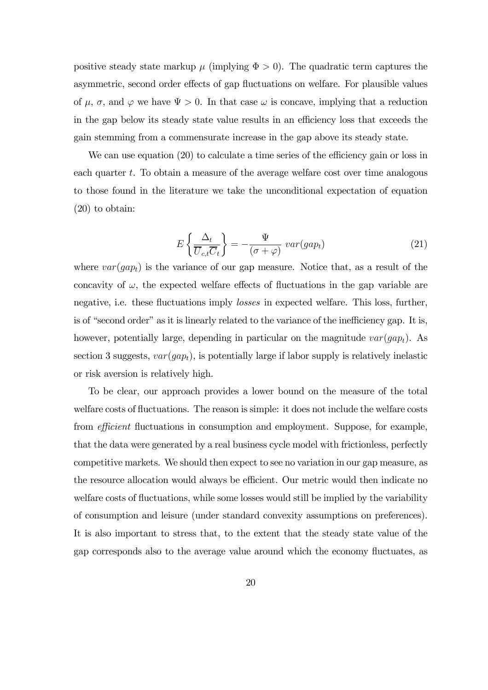positive steady state markup  $\mu$  (implying  $\Phi > 0$ ). The quadratic term captures the asymmetric, second order effects of gap fluctuations on welfare. For plausible values of  $\mu$ ,  $\sigma$ , and  $\varphi$  we have  $\Psi > 0$ . In that case  $\omega$  is concave, implying that a reduction in the gap below its steady state value results in an efficiency loss that exceeds the gain stemming from a commensurate increase in the gap above its steady state.

We can use equation  $(20)$  to calculate a time series of the efficiency gain or loss in each quarter t. To obtain a measure of the average welfare cost over time analogous to those found in the literature we take the unconditional expectation of equation (20) to obtain:

$$
E\left\{\frac{\Delta_t}{\overline{U}_{c,t}\overline{C}_t}\right\} = -\frac{\Psi}{(\sigma + \varphi)}\ var(gap_t)
$$
\n(21)

where  $var(gap_t)$  is the variance of our gap measure. Notice that, as a result of the concavity of  $\omega$ , the expected welfare effects of fluctuations in the gap variable are negative, i.e. these fluctuations imply losses in expected welfare. This loss, further, is of "second order" as it is linearly related to the variance of the inefficiency gap. It is, however, potentially large, depending in particular on the magnitude  $var(gap_t)$ . As section 3 suggests,  $var(gap_t)$ , is potentially large if labor supply is relatively inelastic or risk aversion is relatively high.

To be clear, our approach provides a lower bound on the measure of the total welfare costs of fluctuations. The reason is simple: it does not include the welfare costs from efficient fluctuations in consumption and employment. Suppose, for example, that the data were generated by a real business cycle model with frictionless, perfectly competitive markets. We should then expect to see no variation in our gap measure, as the resource allocation would always be efficient. Our metric would then indicate no welfare costs of fluctuations, while some losses would still be implied by the variability of consumption and leisure (under standard convexity assumptions on preferences). It is also important to stress that, to the extent that the steady state value of the gap corresponds also to the average value around which the economy fluctuates, as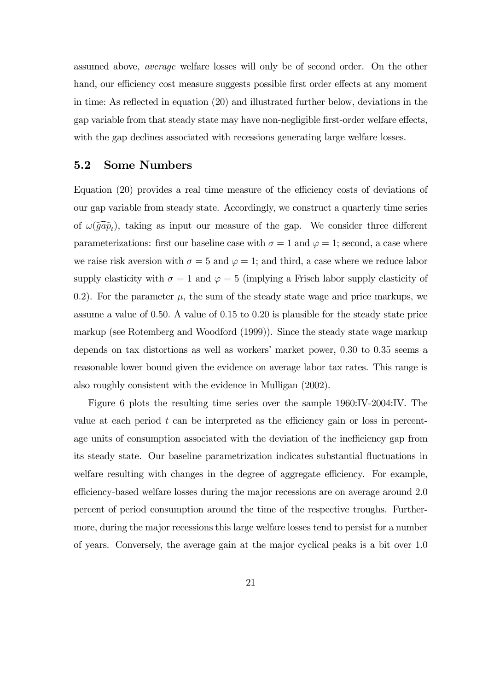assumed above, average welfare losses will only be of second order. On the other hand, our efficiency cost measure suggests possible first order effects at any moment in time: As reflected in equation (20) and illustrated further below, deviations in the gap variable from that steady state may have non-negligible first-order welfare effects, with the gap declines associated with recessions generating large welfare losses.

### 5.2 Some Numbers

Equation (20) provides a real time measure of the efficiency costs of deviations of our gap variable from steady state. Accordingly, we construct a quarterly time series of  $\omega(\widehat{gap}_t)$ , taking as input our measure of the gap. We consider three different parameterizations: first our baseline case with  $\sigma = 1$  and  $\varphi = 1$ ; second, a case where we raise risk aversion with  $\sigma = 5$  and  $\varphi = 1$ ; and third, a case where we reduce labor supply elasticity with  $\sigma = 1$  and  $\varphi = 5$  (implying a Frisch labor supply elasticity of 0.2). For the parameter  $\mu$ , the sum of the steady state wage and price markups, we assume a value of 0.50. A value of 0.15 to 0.20 is plausible for the steady state price markup (see Rotemberg and Woodford (1999)). Since the steady state wage markup depends on tax distortions as well as workers' market power, 0.30 to 0.35 seems a reasonable lower bound given the evidence on average labor tax rates. This range is also roughly consistent with the evidence in Mulligan (2002).

Figure 6 plots the resulting time series over the sample 1960:IV-2004:IV. The value at each period  $t$  can be interpreted as the efficiency gain or loss in percentage units of consumption associated with the deviation of the inefficiency gap from its steady state. Our baseline parametrization indicates substantial fluctuations in welfare resulting with changes in the degree of aggregate efficiency. For example, efficiency-based welfare losses during the major recessions are on average around 2.0 percent of period consumption around the time of the respective troughs. Furthermore, during the major recessions this large welfare losses tend to persist for a number of years. Conversely, the average gain at the major cyclical peaks is a bit over 1.0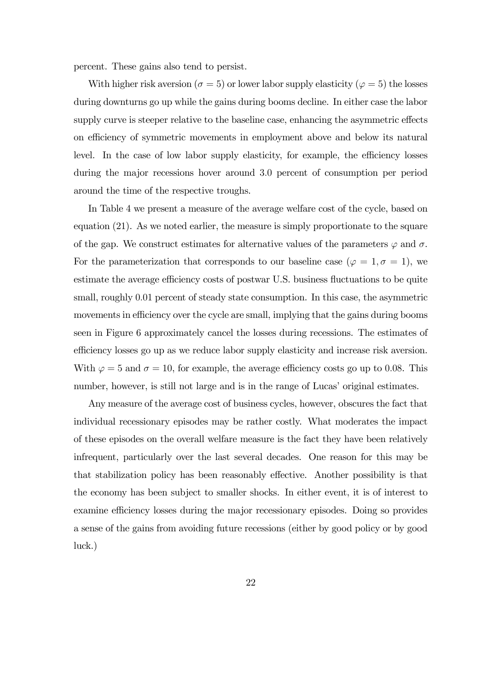percent. These gains also tend to persist.

With higher risk aversion ( $\sigma = 5$ ) or lower labor supply elasticity ( $\varphi = 5$ ) the losses during downturns go up while the gains during booms decline. In either case the labor supply curve is steeper relative to the baseline case, enhancing the asymmetric effects on efficiency of symmetric movements in employment above and below its natural level. In the case of low labor supply elasticity, for example, the efficiency losses during the major recessions hover around 3.0 percent of consumption per period around the time of the respective troughs.

In Table 4 we present a measure of the average welfare cost of the cycle, based on equation (21). As we noted earlier, the measure is simply proportionate to the square of the gap. We construct estimates for alternative values of the parameters  $\varphi$  and  $\sigma$ . For the parameterization that corresponds to our baseline case ( $\varphi = 1, \sigma = 1$ ), we estimate the average efficiency costs of postwar U.S. business fluctuations to be quite small, roughly 0.01 percent of steady state consumption. In this case, the asymmetric movements in efficiency over the cycle are small, implying that the gains during booms seen in Figure 6 approximately cancel the losses during recessions. The estimates of efficiency losses go up as we reduce labor supply elasticity and increase risk aversion. With  $\varphi = 5$  and  $\sigma = 10$ , for example, the average efficiency costs go up to 0.08. This number, however, is still not large and is in the range of Lucas' original estimates.

Any measure of the average cost of business cycles, however, obscures the fact that individual recessionary episodes may be rather costly. What moderates the impact of these episodes on the overall welfare measure is the fact they have been relatively infrequent, particularly over the last several decades. One reason for this may be that stabilization policy has been reasonably effective. Another possibility is that the economy has been subject to smaller shocks. In either event, it is of interest to examine efficiency losses during the major recessionary episodes. Doing so provides a sense of the gains from avoiding future recessions (either by good policy or by good luck.)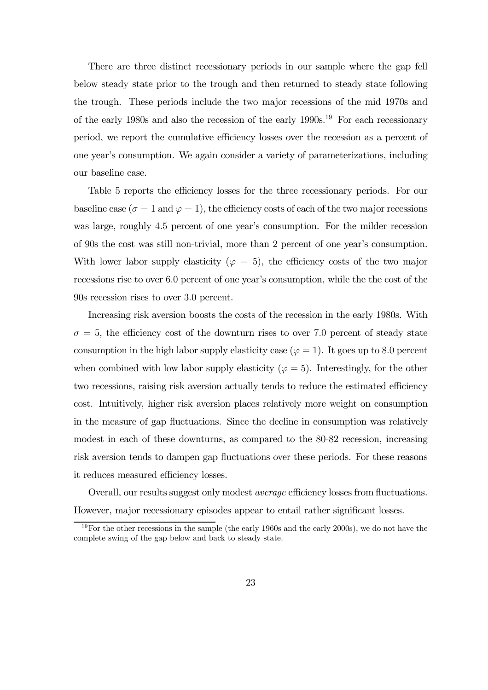There are three distinct recessionary periods in our sample where the gap fell below steady state prior to the trough and then returned to steady state following the trough. These periods include the two major recessions of the mid 1970s and of the early 1980s and also the recession of the early 1990s.19 For each recessionary period, we report the cumulative efficiency losses over the recession as a percent of one year's consumption. We again consider a variety of parameterizations, including our baseline case.

Table 5 reports the efficiency losses for the three recessionary periods. For our baseline case ( $\sigma = 1$  and  $\varphi = 1$ ), the efficiency costs of each of the two major recessions was large, roughly 4.5 percent of one year's consumption. For the milder recession of 90s the cost was still non-trivial, more than 2 percent of one year's consumption. With lower labor supply elasticity ( $\varphi = 5$ ), the efficiency costs of the two major recessions rise to over 6.0 percent of one year's consumption, while the the cost of the 90s recession rises to over 3.0 percent.

Increasing risk aversion boosts the costs of the recession in the early 1980s. With  $\sigma = 5$ , the efficiency cost of the downturn rises to over 7.0 percent of steady state consumption in the high labor supply elasticity case ( $\varphi = 1$ ). It goes up to 8.0 percent when combined with low labor supply elasticity ( $\varphi = 5$ ). Interestingly, for the other two recessions, raising risk aversion actually tends to reduce the estimated efficiency cost. Intuitively, higher risk aversion places relatively more weight on consumption in the measure of gap fluctuations. Since the decline in consumption was relatively modest in each of these downturns, as compared to the 80-82 recession, increasing risk aversion tends to dampen gap fluctuations over these periods. For these reasons it reduces measured efficiency losses.

Overall, our results suggest only modest average efficiency losses from fluctuations. However, major recessionary episodes appear to entail rather significant losses.

 $19$ For the other recessions in the sample (the early 1960s and the early 2000s), we do not have the complete swing of the gap below and back to steady state.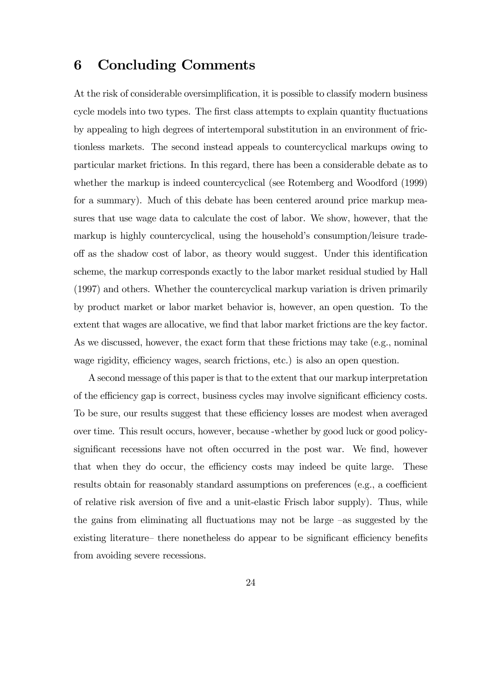## 6 Concluding Comments

At the risk of considerable oversimplification, it is possible to classify modern business cycle models into two types. The first class attempts to explain quantity fluctuations by appealing to high degrees of intertemporal substitution in an environment of frictionless markets. The second instead appeals to countercyclical markups owing to particular market frictions. In this regard, there has been a considerable debate as to whether the markup is indeed countercyclical (see Rotemberg and Woodford (1999) for a summary). Much of this debate has been centered around price markup measures that use wage data to calculate the cost of labor. We show, however, that the markup is highly countercyclical, using the household's consumption/leisure tradeoff as the shadow cost of labor, as theory would suggest. Under this identification scheme, the markup corresponds exactly to the labor market residual studied by Hall (1997) and others. Whether the countercyclical markup variation is driven primarily by product market or labor market behavior is, however, an open question. To the extent that wages are allocative, we find that labor market frictions are the key factor. As we discussed, however, the exact form that these frictions may take (e.g., nominal wage rigidity, efficiency wages, search frictions, etc.) is also an open question.

A second message of this paper is that to the extent that our markup interpretation of the efficiency gap is correct, business cycles may involve significant efficiency costs. To be sure, our results suggest that these efficiency losses are modest when averaged over time. This result occurs, however, because -whether by good luck or good policysignificant recessions have not often occurred in the post war. We find, however that when they do occur, the efficiency costs may indeed be quite large. These results obtain for reasonably standard assumptions on preferences (e.g., a coefficient of relative risk aversion of five and a unit-elastic Frisch labor supply). Thus, while the gains from eliminating all fluctuations may not be large —as suggested by the existing literature— there nonetheless do appear to be significant efficiency benefits from avoiding severe recessions.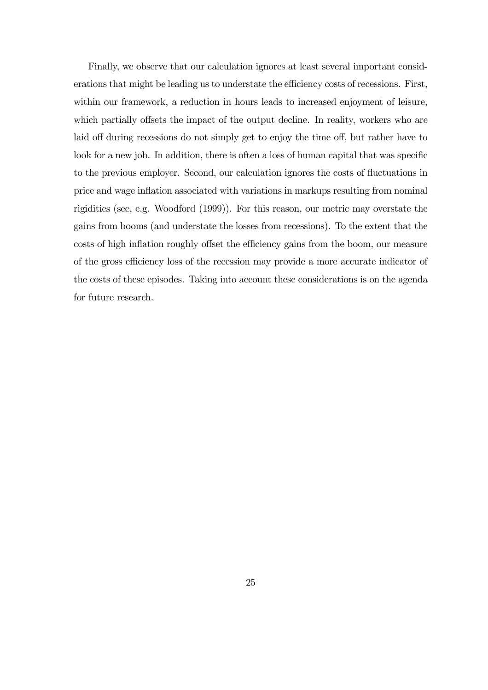Finally, we observe that our calculation ignores at least several important considerations that might be leading us to understate the efficiency costs of recessions. First, within our framework, a reduction in hours leads to increased enjoyment of leisure, which partially offsets the impact of the output decline. In reality, workers who are laid off during recessions do not simply get to enjoy the time off, but rather have to look for a new job. In addition, there is often a loss of human capital that was specific to the previous employer. Second, our calculation ignores the costs of fluctuations in price and wage inflation associated with variations in markups resulting from nominal rigidities (see, e.g. Woodford (1999)). For this reason, our metric may overstate the gains from booms (and understate the losses from recessions). To the extent that the costs of high inflation roughly offset the efficiency gains from the boom, our measure of the gross efficiency loss of the recession may provide a more accurate indicator of the costs of these episodes. Taking into account these considerations is on the agenda for future research.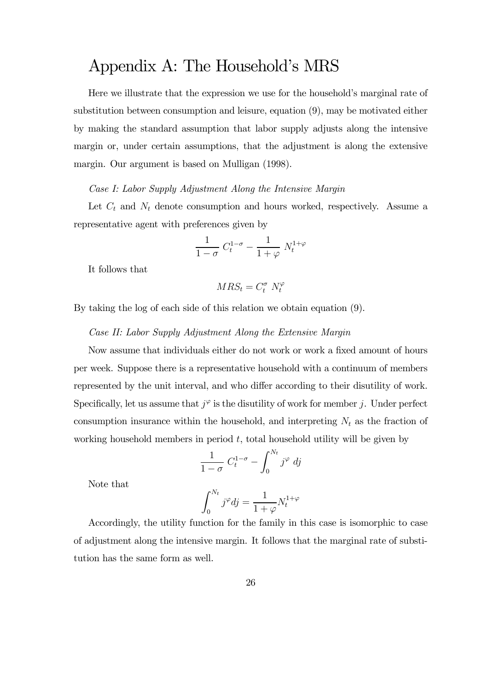# Appendix A: The Household's MRS

Here we illustrate that the expression we use for the household's marginal rate of substitution between consumption and leisure, equation (9), may be motivated either by making the standard assumption that labor supply adjusts along the intensive margin or, under certain assumptions, that the adjustment is along the extensive margin. Our argument is based on Mulligan (1998).

#### Case I: Labor Supply Adjustment Along the Intensive Margin

Let  $C_t$  and  $N_t$  denote consumption and hours worked, respectively. Assume a representative agent with preferences given by

$$
\frac{1}{1-\sigma} C_t^{1-\sigma} - \frac{1}{1+\varphi} N_t^{1+\varphi}
$$

It follows that

$$
M R S_t = C_t^{\sigma} \ N_t^{\varphi}
$$

By taking the log of each side of this relation we obtain equation (9).

#### Case II: Labor Supply Adjustment Along the Extensive Margin

Now assume that individuals either do not work or work a fixed amount of hours per week. Suppose there is a representative household with a continuum of members represented by the unit interval, and who differ according to their disutility of work. Specifically, let us assume that  $j^{\varphi}$  is the disutility of work for member j. Under perfect consumption insurance within the household, and interpreting  $N_t$  as the fraction of working household members in period  $t$ , total household utility will be given by

$$
\frac{1}{1-\sigma} C_t^{1-\sigma} - \int_0^{N_t} j^{\varphi} d j
$$

Note that

$$
\int_0^{N_t} j^{\varphi} dj = \frac{1}{1+\varphi} N_t^{1+\varphi}
$$

Accordingly, the utility function for the family in this case is isomorphic to case of adjustment along the intensive margin. It follows that the marginal rate of substitution has the same form as well.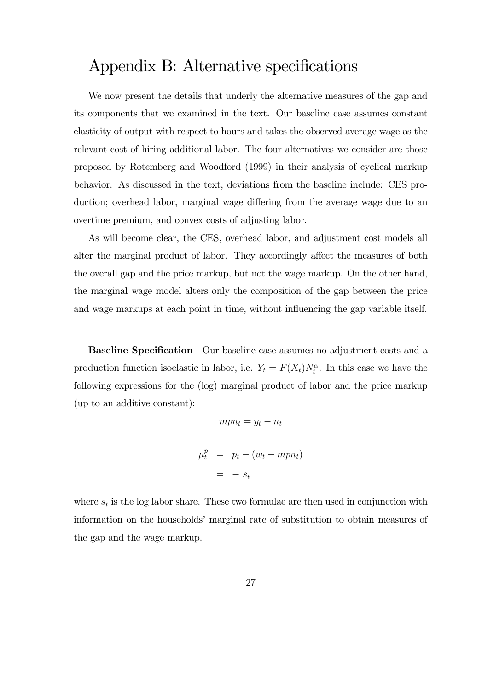# Appendix B: Alternative specifications

We now present the details that underly the alternative measures of the gap and its components that we examined in the text. Our baseline case assumes constant elasticity of output with respect to hours and takes the observed average wage as the relevant cost of hiring additional labor. The four alternatives we consider are those proposed by Rotemberg and Woodford (1999) in their analysis of cyclical markup behavior. As discussed in the text, deviations from the baseline include: CES production; overhead labor, marginal wage differing from the average wage due to an overtime premium, and convex costs of adjusting labor.

As will become clear, the CES, overhead labor, and adjustment cost models all alter the marginal product of labor. They accordingly affect the measures of both the overall gap and the price markup, but not the wage markup. On the other hand, the marginal wage model alters only the composition of the gap between the price and wage markups at each point in time, without influencing the gap variable itself.

Baseline Specification Our baseline case assumes no adjustment costs and a production function isoelastic in labor, i.e.  $Y_t = F(X_t)N_t^{\alpha}$ . In this case we have the following expressions for the (log) marginal product of labor and the price markup (up to an additive constant):

$$
m p n_t = y_t - n_t
$$

$$
\mu_t^p = p_t - (w_t - m p n_t)
$$

$$
= - s_t
$$

where  $s_t$  is the log labor share. These two formulae are then used in conjunction with information on the households' marginal rate of substitution to obtain measures of the gap and the wage markup.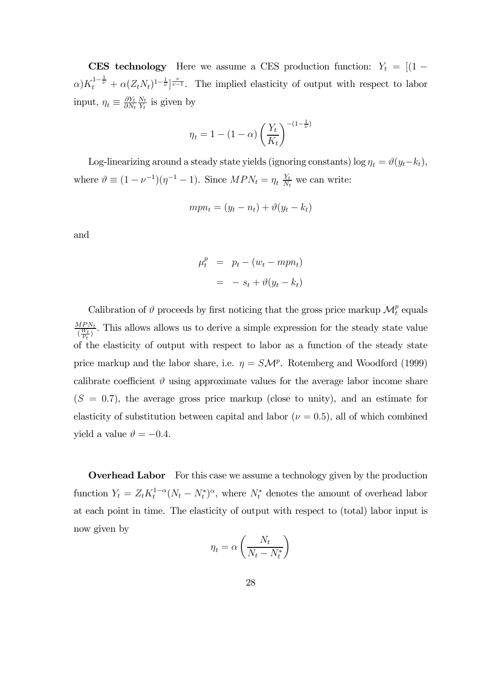CES technology Here we assume a CES production function:  $Y_t = [(1 \alpha)K_t^{1-\frac{1}{\nu}}+\alpha(Z_tN_t)^{1-\frac{1}{\nu}}\Big|\frac{\nu}{\nu-1}$ . The implied elasticity of output with respect to labor input,  $\eta_t \equiv \frac{\partial Y_t}{\partial N_t}$  $\frac{N_t}{Y_t}$  is given by

$$
\eta_t = 1 - (1 - \alpha) \left(\frac{Y_t}{K_t}\right)^{-(1 - \frac{1}{\nu})}
$$

Log-linearizing around a steady state yields (ignoring constants) log  $\eta_t = \vartheta(y_t - k_t)$ , where  $\vartheta \equiv (1 - \nu^{-1})(\eta^{-1} - 1)$ . Since  $MPN_t = \eta_t \frac{Y_t}{N_t}$  we can write:

$$
m p n_t = (y_t - n_t) + \vartheta (y_t - k_t)
$$

and

$$
\mu_t^p = p_t - (w_t - mp_t)
$$

$$
= -s_t + \vartheta(y_t - k_t)
$$

Calibration of  $\vartheta$  proceeds by first noticing that the gross price markup  $\mathcal{M}_t^p$  equals  $\frac{MPN_t}{\binom{W_t}{P_t}}$ . This allows allows us to derive a simple expression for the steady state value of the elasticity of output with respect to labor as a function of the steady state price markup and the labor share, i.e.  $\eta = S\mathcal{M}^p$ . Rotemberg and Woodford (1999) calibrate coefficient  $\vartheta$  using approximate values for the average labor income share  $(S = 0.7)$ , the average gross price markup (close to unity), and an estimate for elasticity of substitution between capital and labor  $(\nu = 0.5)$ , all of which combined yield a value  $\vartheta = -0.4$ .

Overhead Labor For this case we assume a technology given by the production function  $Y_t = Z_t K_t^{1-\alpha} (N_t - N_t^*)^{\alpha}$ , where  $N_t^*$  denotes the amount of overhead labor at each point in time. The elasticity of output with respect to (total) labor input is now given by

$$
\eta_t = \alpha \left( \frac{N_t}{N_t - N^*_t} \right)
$$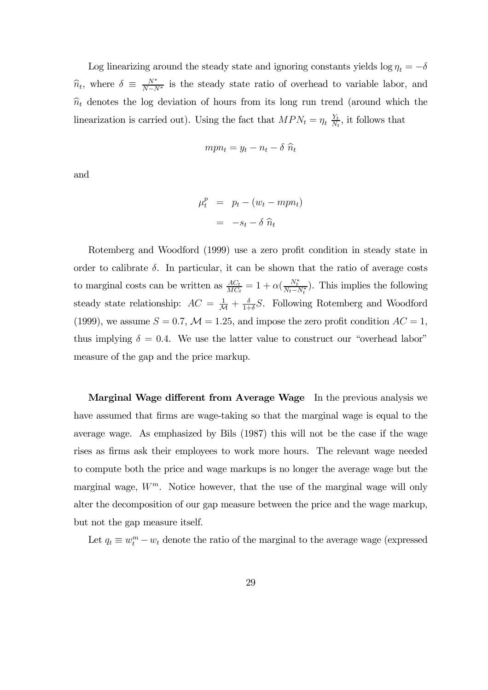Log linearizing around the steady state and ignoring constants yields  $\log \eta_t = -\delta$  $\hat{n}_t$ , where  $\delta \equiv \frac{N^*}{N-N^*}$  is the steady state ratio of overhead to variable labor, and  $\hat{n}_t$  denotes the log deviation of hours from its long run trend (around which the linearization is carried out). Using the fact that  $MPN_t = \eta_t \frac{Y_t}{N_t}$  $\frac{Y_t}{N_t}$ , it follows that

$$
m p n_t = y_t - n_t - \delta \widehat{n}_t
$$

and

$$
\mu_t^p = p_t - (w_t - mp_n)
$$

$$
= -s_t - \delta \widehat{n}_t
$$

Rotemberg and Woodford (1999) use a zero profit condition in steady state in order to calibrate  $\delta$ . In particular, it can be shown that the ratio of average costs to marginal costs can be written as  $\frac{AC_t}{MC_t} = 1 + \alpha(\frac{N_t^*}{N_t - N_t^*})$ . This implies the following steady state relationship:  $AC = \frac{1}{\mathcal{M}} + \frac{\delta}{1+\delta}S$ . Following Rotemberg and Woodford (1999), we assume  $S = 0.7$ ,  $\mathcal{M} = 1.25$ , and impose the zero profit condition  $AC = 1$ , thus implying  $\delta = 0.4$ . We use the latter value to construct our "overhead labor" measure of the gap and the price markup.

Marginal Wage different from Average Wage In the previous analysis we have assumed that firms are wage-taking so that the marginal wage is equal to the average wage. As emphasized by Bils (1987) this will not be the case if the wage rises as firms ask their employees to work more hours. The relevant wage needed to compute both the price and wage markups is no longer the average wage but the marginal wage,  $W<sup>m</sup>$ . Notice however, that the use of the marginal wage will only alter the decomposition of our gap measure between the price and the wage markup, but not the gap measure itself.

Let  $q_t \equiv w_t^m - w_t$  denote the ratio of the marginal to the average wage (expressed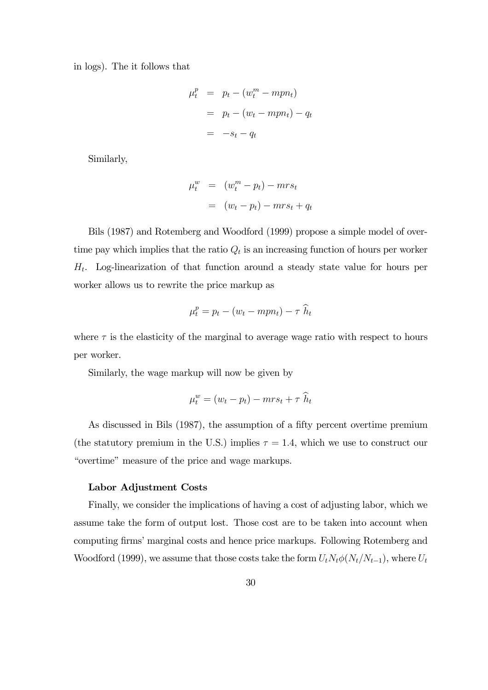in logs). The it follows that

$$
\begin{aligned}\n\mu_t^p &= p_t - (w_t^m - mp_n) \\
&= p_t - (w_t - mp_n) - q_t \\
&= -s_t - q_t\n\end{aligned}
$$

Similarly,

$$
\mu_t^w = (w_t^m - p_t) - mrs_t
$$

$$
= (w_t - p_t) - mrs_t + q_t
$$

Bils (1987) and Rotemberg and Woodford (1999) propose a simple model of overtime pay which implies that the ratio  $Q_t$  is an increasing function of hours per worker  $H_t$ . Log-linearization of that function around a steady state value for hours per worker allows us to rewrite the price markup as

$$
\mu_t^p = p_t - (w_t - mpn_t) - \tau \widehat{h}_t
$$

where  $\tau$  is the elasticity of the marginal to average wage ratio with respect to hours per worker.

Similarly, the wage markup will now be given by

$$
\mu_t^w = (w_t - p_t) - mrs_t + \tau \widehat{h}_t
$$

As discussed in Bils (1987), the assumption of a fifty percent overtime premium (the statutory premium in the U.S.) implies  $\tau = 1.4$ , which we use to construct our "overtime" measure of the price and wage markups.

#### Labor Adjustment Costs

Finally, we consider the implications of having a cost of adjusting labor, which we assume take the form of output lost. Those cost are to be taken into account when computing firms' marginal costs and hence price markups. Following Rotemberg and Woodford (1999), we assume that those costs take the form  $U_tN_t\phi(N_t/N_{t-1})$ , where  $U_t$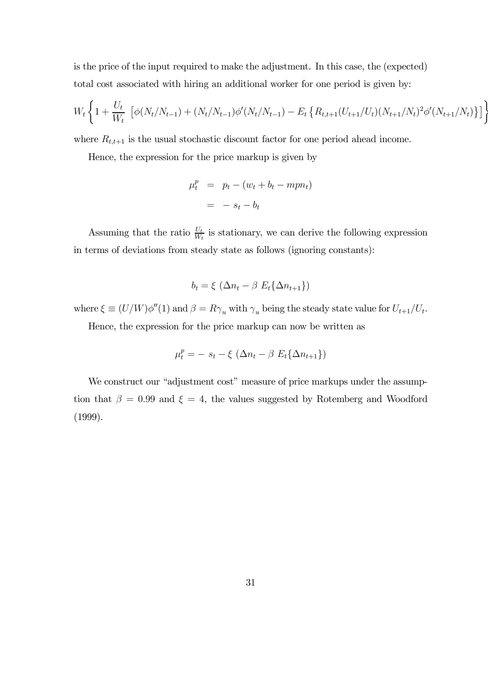is the price of the input required to make the adjustment. In this case, the (expected) total cost associated with hiring an additional worker for one period is given by:

$$
W_t \left\{ 1 + \frac{U_t}{W_t} \left[ \phi(N_t/N_{t-1}) + (N_t/N_{t-1})\phi'(N_t/N_{t-1}) - E_t \left\{ R_{t,t+1}(U_{t+1}/U_t) (N_{t+1}/N_t)^2 \phi'(N_{t+1}/N_t) \right\} \right] \right\}
$$

where  $\mathcal{R}_{t,t+1}$  is the usual stochastic discount factor for one period ahead income.

Hence, the expression for the price markup is given by

$$
\mu_t^p = p_t - (w_t + b_t - mp_n)
$$

$$
= -s_t - b_t
$$

Assuming that the ratio  $\frac{U_t}{W_t}$  is stationary, we can derive the following expression in terms of deviations from steady state as follows (ignoring constants):

$$
b_t = \xi \left( \Delta n_t - \beta \ E_t \{ \Delta n_{t+1} \} \right)
$$

where  $\xi \equiv (U/W)\phi''(1)$  and  $\beta = R\gamma_u$  with  $\gamma_u$  being the steady state value for  $U_{t+1}/U_t$ .

Hence, the expression for the price markup can now be written as

$$
\mu_t^p = -s_t - \xi \left( \Delta n_t - \beta \ E_t \{ \Delta n_{t+1} \} \right)
$$

We construct our "adjustment cost" measure of price markups under the assumption that  $\beta = 0.99$  and  $\xi = 4$ , the values suggested by Rotemberg and Woodford (1999).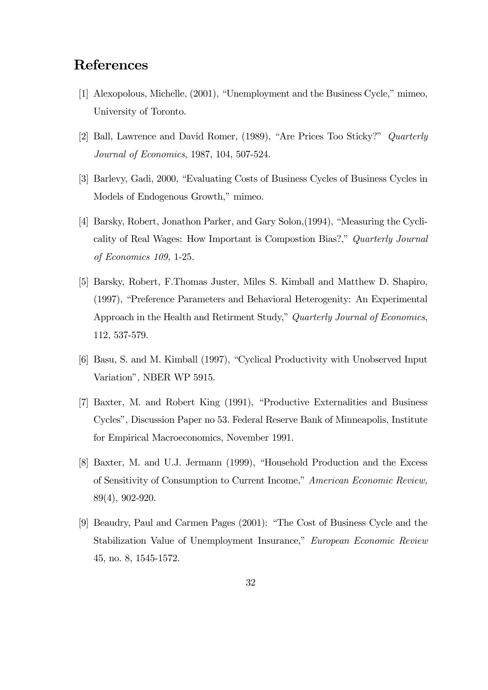## References

- [1] Alexopolous, Michelle, (2001), "Unemployment and the Business Cycle," mimeo, University of Toronto.
- [2] Ball, Lawrence and David Romer, (1989), "Are Prices Too Sticky?" Quarterly Journal of Economics, 1987, 104, 507-524.
- [3] Barlevy, Gadi, 2000, "Evaluating Costs of Business Cycles of Business Cycles in Models of Endogenous Growth," mimeo.
- [4] Barsky, Robert, Jonathon Parker, and Gary Solon,(1994), "Measuring the Cyclicality of Real Wages: How Important is Compostion Bias?," Quarterly Journal of Economics 109, 1-25.
- [5] Barsky, Robert, F.Thomas Juster, Miles S. Kimball and Matthew D. Shapiro, (1997), "Preference Parameters and Behavioral Heterogenity: An Experimental Approach in the Health and Retirment Study," Quarterly Journal of Economics, 112, 537-579.
- [6] Basu, S. and M. Kimball (1997), "Cyclical Productivity with Unobserved Input Variation", NBER WP 5915.
- [7] Baxter, M. and Robert King (1991), "Productive Externalities and Business Cycles", Discussion Paper no 53. Federal Reserve Bank of Minneapolis, Institute for Empirical Macroeconomics, November 1991.
- [8] Baxter, M. and U.J. Jermann (1999), "Household Production and the Excess of Sensitivity of Consumption to Current Income," American Economic Review, 89(4), 902-920.
- [9] Beaudry, Paul and Carmen Pages (2001): "The Cost of Business Cycle and the Stabilization Value of Unemployment Insurance," European Economic Review 45, no. 8, 1545-1572.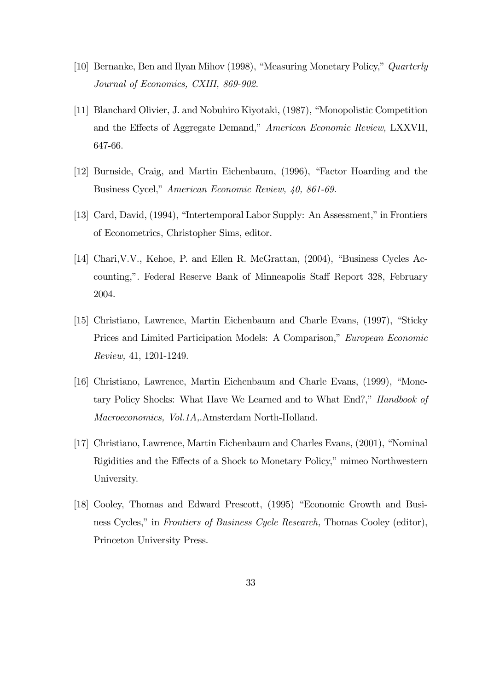- [10] Bernanke, Ben and Ilyan Mihov (1998), "Measuring Monetary Policy," Quarterly Journal of Economics, CXIII, 869-902.
- [11] Blanchard Olivier, J. and Nobuhiro Kiyotaki, (1987), "Monopolistic Competition and the Effects of Aggregate Demand," American Economic Review, LXXVII, 647-66.
- [12] Burnside, Craig, and Martin Eichenbaum, (1996), "Factor Hoarding and the Business Cycel," American Economic Review, 40, 861-69.
- [13] Card, David, (1994), "Intertemporal Labor Supply: An Assessment," in Frontiers of Econometrics, Christopher Sims, editor.
- [14] Chari,V.V., Kehoe, P. and Ellen R. McGrattan, (2004), "Business Cycles Accounting,". Federal Reserve Bank of Minneapolis Staff Report 328, February 2004.
- [15] Christiano, Lawrence, Martin Eichenbaum and Charle Evans, (1997), "Sticky Prices and Limited Participation Models: A Comparison," European Economic Review, 41, 1201-1249.
- [16] Christiano, Lawrence, Martin Eichenbaum and Charle Evans, (1999), "Monetary Policy Shocks: What Have We Learned and to What End?," Handbook of Macroeconomics, Vol.1A,.Amsterdam North-Holland.
- [17] Christiano, Lawrence, Martin Eichenbaum and Charles Evans, (2001), "Nominal Rigidities and the Effects of a Shock to Monetary Policy," mimeo Northwestern University.
- [18] Cooley, Thomas and Edward Prescott, (1995) "Economic Growth and Business Cycles," in Frontiers of Business Cycle Research, Thomas Cooley (editor), Princeton University Press.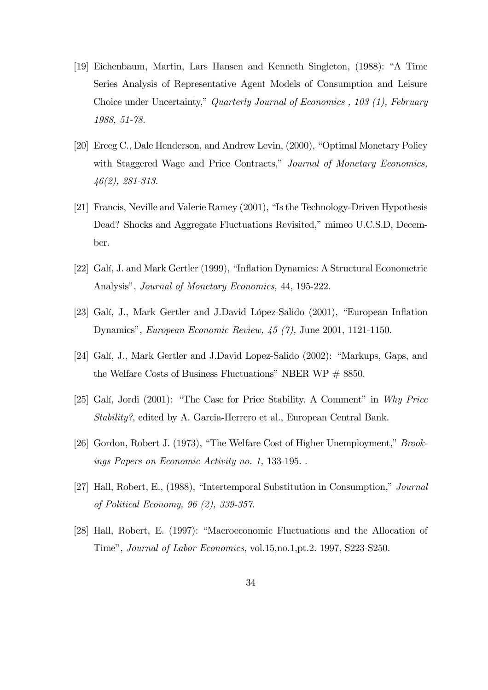- [19] Eichenbaum, Martin, Lars Hansen and Kenneth Singleton, (1988): "A Time Series Analysis of Representative Agent Models of Consumption and Leisure Choice under Uncertainty," Quarterly Journal of Economics , 103 (1), February 1988, 51-78.
- [20] Erceg C., Dale Henderson, and Andrew Levin, (2000), "Optimal Monetary Policy with Staggered Wage and Price Contracts," Journal of Monetary Economics, 46(2), 281-313.
- [21] Francis, Neville and Valerie Ramey (2001), "Is the Technology-Driven Hypothesis Dead? Shocks and Aggregate Fluctuations Revisited," mimeo U.C.S.D, December.
- [22] Galí, J. and Mark Gertler (1999), "Inflation Dynamics: A Structural Econometric Analysis", Journal of Monetary Economics, 44, 195-222.
- [23] Galí, J., Mark Gertler and J.David López-Salido (2001), "European Inflation Dynamics", European Economic Review, 45 (7), June 2001, 1121-1150.
- [24] Galí, J., Mark Gertler and J.David Lopez-Salido (2002): "Markups, Gaps, and the Welfare Costs of Business Fluctuations" NBER WP  $\#$  8850.
- [25] Galí, Jordi (2001): "The Case for Price Stability. A Comment" in Why Price Stability?, edited by A. Garcia-Herrero et al., European Central Bank.
- [26] Gordon, Robert J. (1973), "The Welfare Cost of Higher Unemployment," Brookings Papers on Economic Activity no. 1, 133-195. .
- [27] Hall, Robert, E., (1988), "Intertemporal Substitution in Consumption," Journal of Political Economy, 96 (2), 339-357.
- [28] Hall, Robert, E. (1997): "Macroeconomic Fluctuations and the Allocation of Time", Journal of Labor Economics, vol.15,no.1,pt.2. 1997, S223-S250.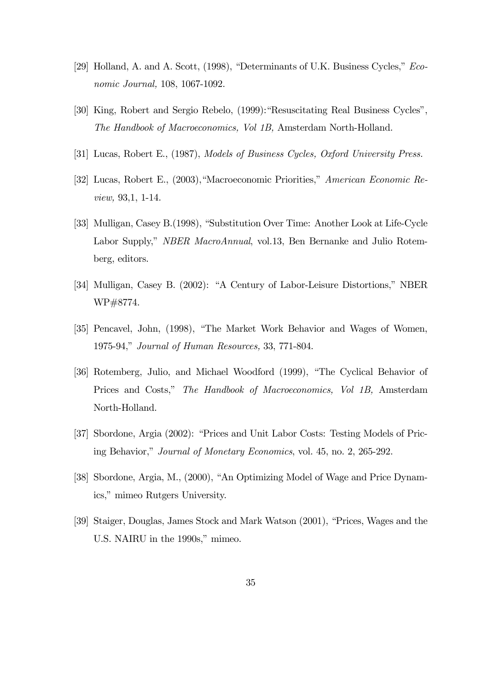- [29] Holland, A. and A. Scott, (1998), "Determinants of U.K. Business Cycles," Economic Journal, 108, 1067-1092.
- [30] King, Robert and Sergio Rebelo, (1999):"Resuscitating Real Business Cycles", The Handbook of Macroeconomics, Vol 1B, Amsterdam North-Holland.
- [31] Lucas, Robert E., (1987), Models of Business Cycles, Oxford University Press.
- [32] Lucas, Robert E., (2003),"Macroeconomic Priorities," American Economic Review, 93,1, 1-14.
- [33] Mulligan, Casey B.(1998), "Substitution Over Time: Another Look at Life-Cycle Labor Supply," *NBER MacroAnnual*, vol.13, Ben Bernanke and Julio Rotemberg, editors.
- [34] Mulligan, Casey B. (2002): "A Century of Labor-Leisure Distortions," NBER WP#8774.
- [35] Pencavel, John, (1998), "The Market Work Behavior and Wages of Women, 1975-94," Journal of Human Resources, 33, 771-804.
- [36] Rotemberg, Julio, and Michael Woodford (1999), "The Cyclical Behavior of Prices and Costs," The Handbook of Macroeconomics, Vol 1B, Amsterdam North-Holland.
- [37] Sbordone, Argia (2002): "Prices and Unit Labor Costs: Testing Models of Pricing Behavior," Journal of Monetary Economics, vol. 45, no. 2, 265-292.
- [38] Sbordone, Argia, M., (2000), "An Optimizing Model of Wage and Price Dynamics," mimeo Rutgers University.
- [39] Staiger, Douglas, James Stock and Mark Watson (2001), "Prices, Wages and the U.S. NAIRU in the 1990s," mimeo.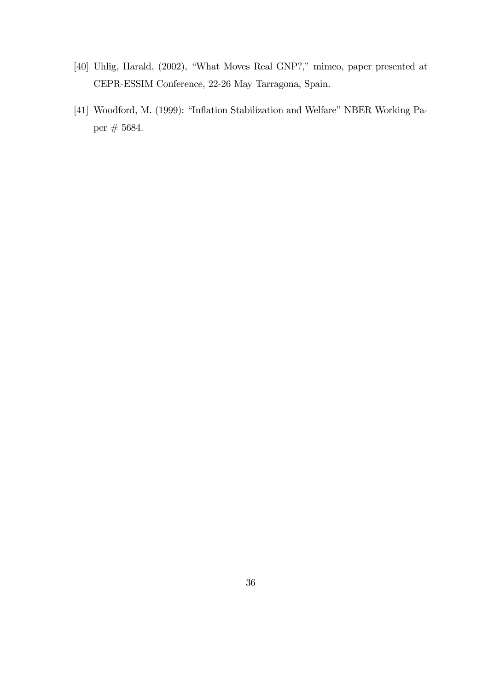- [40] Uhlig, Harald, (2002), "What Moves Real GNP?," mimeo, paper presented at CEPR-ESSIM Conference, 22-26 May Tarragona, Spain.
- [41] Woodford, M. (1999): "Inflation Stabilization and Welfare" NBER Working Paper  $\#$  5684.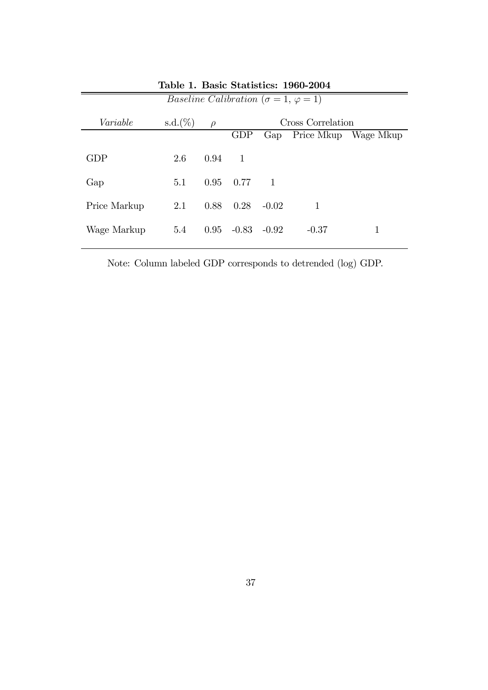| <i>Baseline Calibration</i> ( $\sigma = 1, \varphi = 1$ ) |            |        |                   |                |                          |   |
|-----------------------------------------------------------|------------|--------|-------------------|----------------|--------------------------|---|
| Variable                                                  | $s.d.(\%)$ | $\rho$ | Cross Correlation |                |                          |   |
|                                                           |            |        | <b>GDP</b>        |                | Gap Price Mkup Wage Mkup |   |
| GDP                                                       | 2.6        | 0.94   | $\overline{1}$    |                |                          |   |
| Gap                                                       | 5.1        | 0.95   | 0.77              | $\overline{1}$ |                          |   |
| Price Markup                                              | 2.1        | 0.88   | 0.28              | $-0.02$        | 1                        |   |
| Wage Markup                                               | 5.4        | 0.95   | $-0.83 - 0.92$    |                | $-0.37$                  | 1 |

Table 1. Basic Statistics: 1960-2004

Note: Column labeled GDP corresponds to detrended (log) GDP.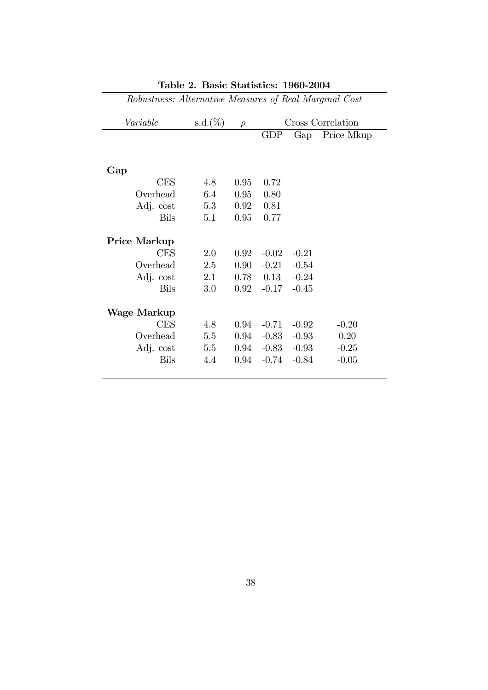| Robustness: Alternative Measures of Real Marginal Cost |            |        |                   |         |            |
|--------------------------------------------------------|------------|--------|-------------------|---------|------------|
| Variable                                               | $s.d.(\%)$ | $\rho$ | Cross Correlation |         |            |
|                                                        |            |        | <b>GDP</b>        | Gap     | Price Mkup |
|                                                        |            |        |                   |         |            |
| Gap                                                    |            |        |                   |         |            |
| <b>CES</b>                                             | 4.8        | 0.95   | 0.72              |         |            |
| Overhead                                               | 6.4        | 0.95   | 0.80              |         |            |
| Adj. cost                                              | 5.3        | 0.92   | 0.81              |         |            |
| <b>Bils</b>                                            | 5.1        | 0.95   | 0.77              |         |            |
| <b>Price Markup</b>                                    |            |        |                   |         |            |
| <b>CES</b>                                             | 2.0        | 0.92   | $-0.02$           | $-0.21$ |            |
| Overhead                                               | 2.5        | 0.90   | $-0.21$           | $-0.54$ |            |
| Adj. cost                                              | 2.1        | 0.78   | 0.13              | $-0.24$ |            |
| <b>Bils</b>                                            | 3.0        | 0.92   | $-0.17$           | $-0.45$ |            |
| Wage Markup                                            |            |        |                   |         |            |
| <b>CES</b>                                             | 4.8        | 0.94   | $-0.71$           | $-0.92$ | $-0.20$    |
| Overhead                                               | 5.5        | 0.94   | $-0.83$           | $-0.93$ | 0.20       |
| Adj. cost                                              | 5.5        | 0.94   | $-0.83$           | $-0.93$ | $-0.25$    |
| <b>Bils</b>                                            | 4.4        | 0.94   | $-0.74$           | $-0.84$ | $-0.05$    |
|                                                        |            |        |                   |         |            |

Table 2. Basic Statistics: 1960-2004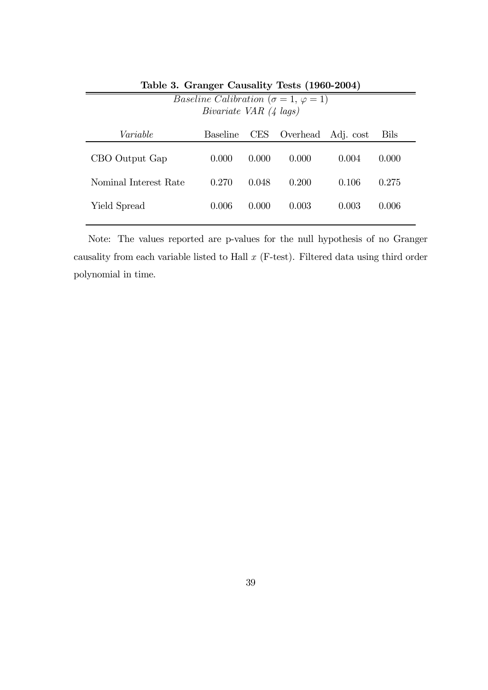| <i>Baseline Calibration</i> ( $\sigma = 1, \varphi = 1$ )<br>Bivariate VAR $(4 \text{ lags})$ |                 |            |          |           |             |  |
|-----------------------------------------------------------------------------------------------|-----------------|------------|----------|-----------|-------------|--|
| Variable                                                                                      | <b>Baseline</b> | <b>CES</b> | Overhead | Adj. cost | <b>Bils</b> |  |
| CBO Output Gap                                                                                | 0.000           | 0.000      | 0.000    | 0.004     | 0.000       |  |
| Nominal Interest Rate                                                                         | 0.270           | 0.048      | 0.200    | 0.106     | 0.275       |  |
| Yield Spread                                                                                  | 0.006           | 0.000      | 0.003    | 0.003     | 0.006       |  |

Table 3. Granger Causality Tests (1960-2004)

Note: The values reported are p-values for the null hypothesis of no Granger causality from each variable listed to Hall  $x$  (F-test). Filtered data using third order polynomial in time.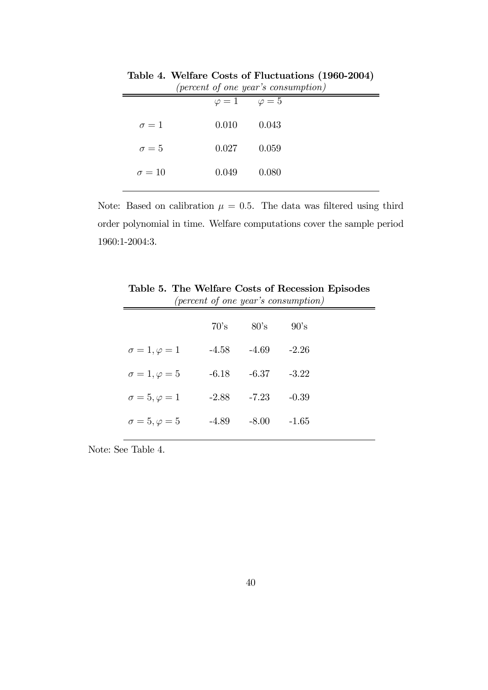| (percent of one year's consumption) |  |  |  |  |  |  |
|-------------------------------------|--|--|--|--|--|--|
|                                     |  |  |  |  |  |  |
|                                     |  |  |  |  |  |  |
|                                     |  |  |  |  |  |  |
|                                     |  |  |  |  |  |  |
|                                     |  |  |  |  |  |  |

Table 4. Welfare Costs of Fluctuations (1960-2004) (percent of one year's consumption)

Note: Based on calibration  $\mu = 0.5$ . The data was filtered using third order polynomial in time. Welfare computations cover the sample period 1960:1-2004:3.

| (percent of one year's consumption) |         |         |               |  |  |
|-------------------------------------|---------|---------|---------------|--|--|
|                                     | 70's    | 80's    | $90\text{'s}$ |  |  |
| $\sigma=1, \varphi=1$               | $-4.58$ | $-4.69$ | $-2.26$       |  |  |
| $\sigma = 1, \varphi = 5$           | $-6.18$ | $-6.37$ | $-3.22$       |  |  |
| $\sigma=5, \varphi=1$               | $-2.88$ | $-7.23$ | $-0.39$       |  |  |
| $\sigma = 5, \varphi = 5$           | $-4.89$ | $-8.00$ | $-1.65$       |  |  |

Table 5. The Welfare Costs of Recession Episodes

Note: See Table 4.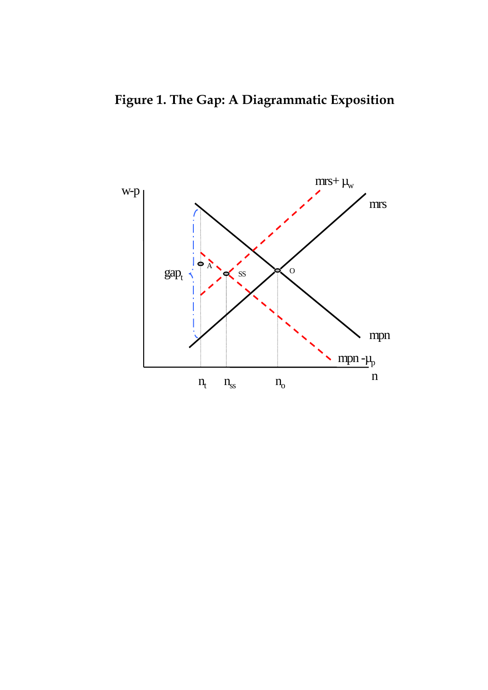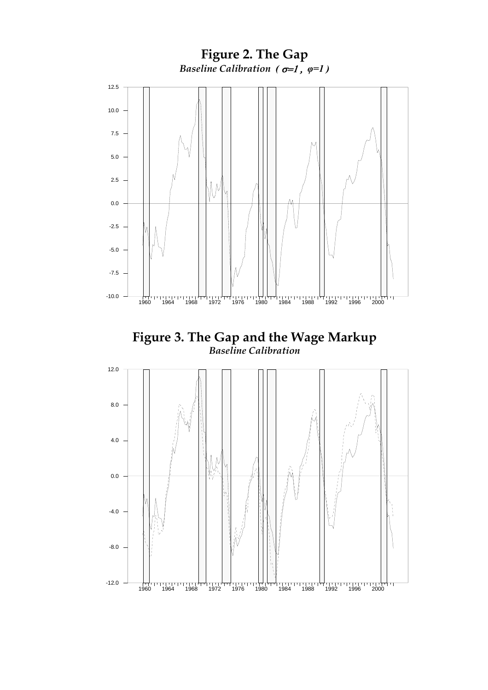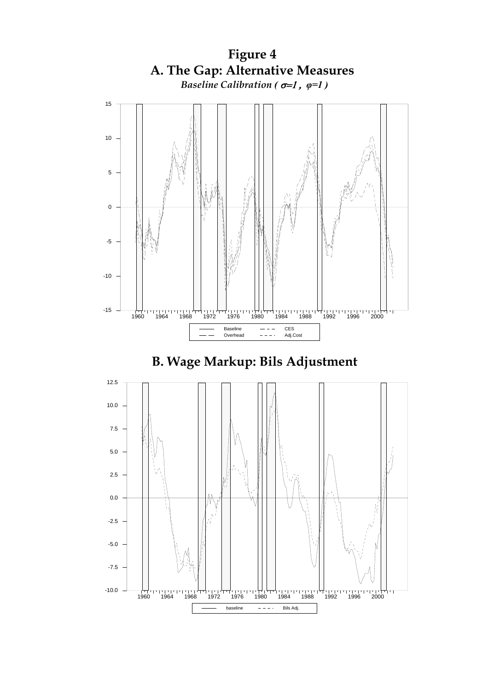



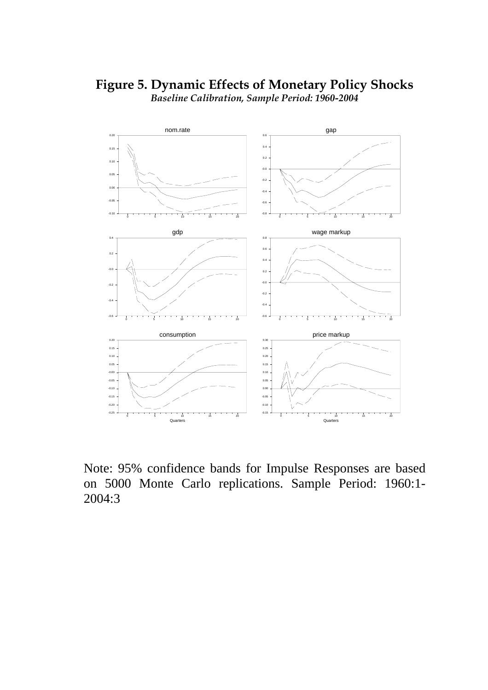



Note: 95% confidence bands for Impulse Responses are based on 5000 Monte Carlo replications. Sample Period: 1960:1- 2004:3